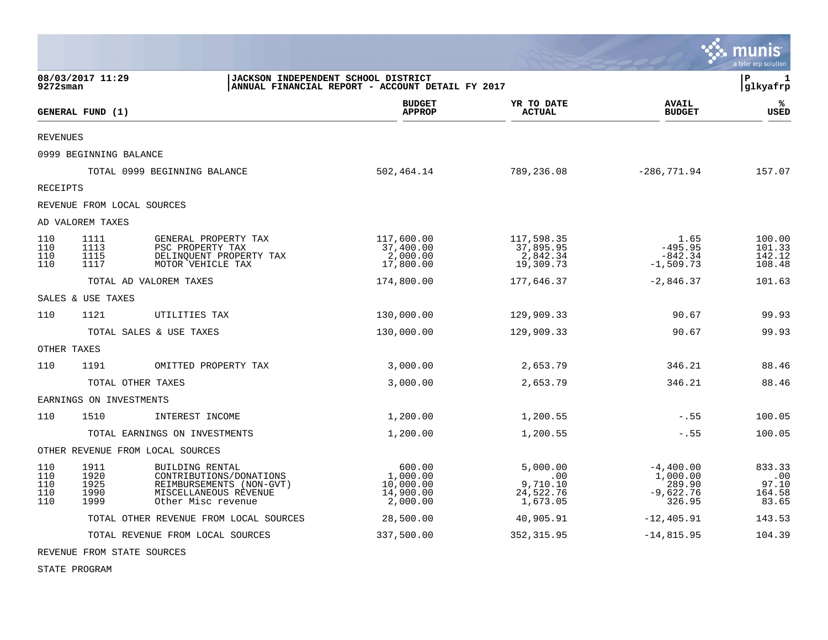|                                 |                                      |                                                                                                                       |                                                          |                                                      |                                                            | munis<br>a tyler erp solution             |
|---------------------------------|--------------------------------------|-----------------------------------------------------------------------------------------------------------------------|----------------------------------------------------------|------------------------------------------------------|------------------------------------------------------------|-------------------------------------------|
| $9272$ sman                     | 08/03/2017 11:29                     | JACKSON INDEPENDENT SCHOOL DISTRICT                                                                                   | ANNUAL FINANCIAL REPORT - ACCOUNT DETAIL FY 2017         |                                                      |                                                            | P<br>1<br>glkyafrp                        |
|                                 | GENERAL FUND (1)                     |                                                                                                                       | <b>BUDGET</b><br><b>APPROP</b>                           | YR TO DATE<br><b>ACTUAL</b>                          | <b>AVAIL</b><br><b>BUDGET</b>                              | %ะ<br><b>USED</b>                         |
| REVENUES                        |                                      |                                                                                                                       |                                                          |                                                      |                                                            |                                           |
|                                 | 0999 BEGINNING BALANCE               |                                                                                                                       |                                                          |                                                      |                                                            |                                           |
|                                 | TOTAL 0999 BEGINNING BALANCE         |                                                                                                                       | 502,464.14                                               | 789,236.08                                           | $-286,771.94$                                              | 157.07                                    |
| RECEIPTS                        |                                      |                                                                                                                       |                                                          |                                                      |                                                            |                                           |
|                                 | REVENUE FROM LOCAL SOURCES           |                                                                                                                       |                                                          |                                                      |                                                            |                                           |
|                                 | AD VALOREM TAXES                     |                                                                                                                       |                                                          |                                                      |                                                            |                                           |
| 110<br>110<br>110<br>110        | 1111<br>1113<br>1115<br>1117         | GENERAL PROPERTY TAX<br>PSC PROPERTY TAX<br>DELINQUENT PROPERTY TAX<br>MOTOR VEHICLE TAX                              | 117,600.00<br>37,400.00<br>2,000.00<br>17,800.00         | 117,598.35<br>37,895.95<br>2,842.34<br>19,309.73     | 1.65<br>$-495.95$<br>$-842.34$<br>$-1,509.73$              | 100.00<br>101.33<br>142.12<br>108.48      |
|                                 | TOTAL AD VALOREM TAXES               |                                                                                                                       | 174,800.00                                               | 177,646.37                                           | $-2,846.37$                                                | 101.63                                    |
|                                 | SALES & USE TAXES                    |                                                                                                                       |                                                          |                                                      |                                                            |                                           |
| 110                             | 1121                                 | UTILITIES TAX                                                                                                         | 130,000.00                                               | 129,909.33                                           | 90.67                                                      | 99.93                                     |
|                                 | TOTAL SALES & USE TAXES              |                                                                                                                       | 130,000.00                                               | 129,909.33                                           | 90.67                                                      | 99.93                                     |
|                                 | OTHER TAXES                          |                                                                                                                       |                                                          |                                                      |                                                            |                                           |
| 110                             | 1191                                 | OMITTED PROPERTY TAX                                                                                                  | 3,000.00                                                 | 2,653.79                                             | 346.21                                                     | 88.46                                     |
|                                 | TOTAL OTHER TAXES                    |                                                                                                                       | 3,000.00                                                 | 2,653.79                                             | 346.21                                                     | 88.46                                     |
|                                 | EARNINGS ON INVESTMENTS              |                                                                                                                       |                                                          |                                                      |                                                            |                                           |
| 110                             | 1510                                 | INTEREST INCOME                                                                                                       | 1,200.00                                                 | 1,200.55                                             | $-.55$                                                     | 100.05                                    |
|                                 | TOTAL EARNINGS ON INVESTMENTS        |                                                                                                                       | 1,200.00                                                 | 1,200.55                                             | $-.55$                                                     | 100.05                                    |
|                                 | OTHER REVENUE FROM LOCAL SOURCES     |                                                                                                                       |                                                          |                                                      |                                                            |                                           |
| 110<br>110<br>110<br>110<br>110 | 1911<br>1920<br>1925<br>1990<br>1999 | BUILDING RENTAL<br>CONTRIBUTIONS/DONATIONS<br>REIMBURSEMENTS (NON-GVT)<br>MISCELLANEOUS REVENUE<br>Other Misc revenue | 600.00<br>1,000.00<br>10,000.00<br>14,900.00<br>2,000.00 | 5,000.00<br>.00<br>9,710.10<br>24,522.76<br>1,673.05 | $-4,400.00$<br>1,000.00<br>289.90<br>$-9,622.76$<br>326.95 | 833.33<br>.00<br>97.10<br>164.58<br>83.65 |
|                                 |                                      | TOTAL OTHER REVENUE FROM LOCAL SOURCES                                                                                | 28,500.00                                                | 40,905.91                                            | $-12, 405.91$                                              | 143.53                                    |
|                                 |                                      | TOTAL REVENUE FROM LOCAL SOURCES                                                                                      | 337,500.00                                               | 352, 315.95                                          | $-14,815.95$                                               | 104.39                                    |

**Designation** 

REVENUE FROM STATE SOURCES

STATE PROGRAM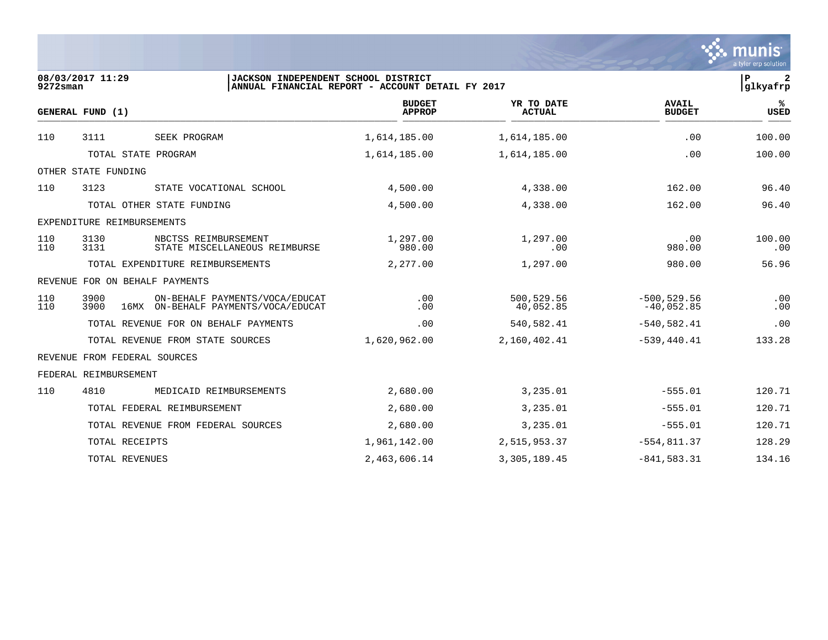|             |                                                                                       |                                                  |                             |                                | munis<br>a tyler erp solution  |
|-------------|---------------------------------------------------------------------------------------|--------------------------------------------------|-----------------------------|--------------------------------|--------------------------------|
| $9272$ sman | 08/03/2017 11:29<br>JACKSON INDEPENDENT SCHOOL DISTRICT                               | ANNUAL FINANCIAL REPORT - ACCOUNT DETAIL FY 2017 |                             |                                | $\mathbf{2}$<br>P<br> glkyafrp |
|             | GENERAL FUND (1)                                                                      | <b>BUDGET</b><br><b>APPROP</b>                   | YR TO DATE<br><b>ACTUAL</b> | <b>AVAIL</b><br><b>BUDGET</b>  | ℁<br><b>USED</b>               |
| 110         | SEEK PROGRAM<br>3111                                                                  | 1,614,185.00                                     | 1,614,185.00                | .00                            | 100.00                         |
|             | TOTAL STATE PROGRAM                                                                   | 1,614,185.00                                     | 1,614,185.00                | .00                            | 100.00                         |
|             | OTHER STATE FUNDING                                                                   |                                                  |                             |                                |                                |
| 110         | 3123<br>STATE VOCATIONAL SCHOOL                                                       | 4,500.00                                         | 4,338.00                    | 162.00                         | 96.40                          |
|             | TOTAL OTHER STATE FUNDING                                                             | 4,500.00                                         | 4,338.00                    | 162.00                         | 96.40                          |
|             | EXPENDITURE REIMBURSEMENTS                                                            |                                                  |                             |                                |                                |
| 110<br>110  | 3130<br>NBCTSS REIMBURSEMENT<br>3131<br>STATE MISCELLANEOUS REIMBURSE                 | 1,297.00<br>980.00                               | 1,297.00<br>.00             | .00<br>980.00                  | 100.00<br>.00                  |
|             | TOTAL EXPENDITURE REIMBURSEMENTS                                                      | 2,277.00                                         | 1,297.00                    | 980.00                         | 56.96                          |
|             | REVENUE FOR ON BEHALF PAYMENTS                                                        |                                                  |                             |                                |                                |
| 110<br>110  | 3900<br>ON-BEHALF PAYMENTS/VOCA/EDUCAT<br>3900<br>16MX ON-BEHALF PAYMENTS/VOCA/EDUCAT | .00<br>.00                                       | 500,529.56<br>40,052.85     | $-500, 529.56$<br>$-40,052.85$ | .00<br>.00                     |
|             | TOTAL REVENUE FOR ON BEHALF PAYMENTS                                                  | .00                                              | 540,582.41                  | $-540,582.41$                  | .00                            |
|             | TOTAL REVENUE FROM STATE SOURCES                                                      | 1,620,962.00                                     | 2,160,402.41                | $-539, 440.41$                 | 133.28                         |
|             | REVENUE FROM FEDERAL SOURCES                                                          |                                                  |                             |                                |                                |
|             | FEDERAL REIMBURSEMENT                                                                 |                                                  |                             |                                |                                |
| 110         | MEDICAID REIMBURSEMENTS<br>4810                                                       | 2,680.00                                         | 3,235.01                    | $-555.01$                      | 120.71                         |
|             | TOTAL FEDERAL REIMBURSEMENT                                                           | 2,680.00                                         | 3,235.01                    | $-555.01$                      | 120.71                         |
|             | TOTAL REVENUE FROM FEDERAL SOURCES                                                    | 2,680.00                                         | 3,235.01                    | $-555.01$                      | 120.71                         |
|             | TOTAL RECEIPTS                                                                        | 1,961,142.00                                     | 2,515,953.37                | $-554, 811.37$                 | 128.29                         |
|             | TOTAL REVENUES                                                                        | 2,463,606.14                                     | 3,305,189.45                | $-841,583.31$                  | 134.16                         |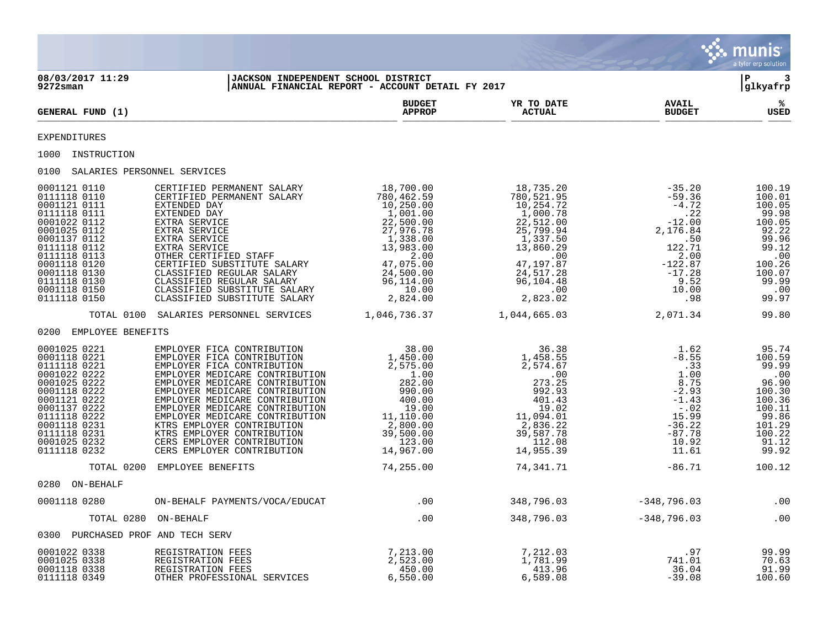|                                                                                                                                                                                                                              |                                                                                                                                                                                                                                                                                                                                                                                                                                                                                                                          |                                                                                                                                        |                                                                                                                                                                                                |                                                                                                                                                                            | munis <sup>®</sup><br>a tyler erp solution                                                                                   |
|------------------------------------------------------------------------------------------------------------------------------------------------------------------------------------------------------------------------------|--------------------------------------------------------------------------------------------------------------------------------------------------------------------------------------------------------------------------------------------------------------------------------------------------------------------------------------------------------------------------------------------------------------------------------------------------------------------------------------------------------------------------|----------------------------------------------------------------------------------------------------------------------------------------|------------------------------------------------------------------------------------------------------------------------------------------------------------------------------------------------|----------------------------------------------------------------------------------------------------------------------------------------------------------------------------|------------------------------------------------------------------------------------------------------------------------------|
| 08/03/2017 11:29<br>$9272$ sman                                                                                                                                                                                              | JACKSON INDEPENDENT SCHOOL DISTRICT                                                                                                                                                                                                                                                                                                                                                                                                                                                                                      | ANNUAL FINANCIAL REPORT - ACCOUNT DETAIL FY 2017                                                                                       |                                                                                                                                                                                                |                                                                                                                                                                            | -3<br>l P<br>glkyafrp                                                                                                        |
| GENERAL FUND (1)                                                                                                                                                                                                             |                                                                                                                                                                                                                                                                                                                                                                                                                                                                                                                          | <b>BUDGET</b><br><b>APPROP</b>                                                                                                         | YR TO DATE<br><b>ACTUAL</b>                                                                                                                                                                    | <b>AVAIL</b><br><b>BUDGET</b>                                                                                                                                              | ℁<br>USED                                                                                                                    |
| EXPENDITURES                                                                                                                                                                                                                 |                                                                                                                                                                                                                                                                                                                                                                                                                                                                                                                          |                                                                                                                                        |                                                                                                                                                                                                |                                                                                                                                                                            |                                                                                                                              |
| 1000 INSTRUCTION                                                                                                                                                                                                             |                                                                                                                                                                                                                                                                                                                                                                                                                                                                                                                          |                                                                                                                                        |                                                                                                                                                                                                |                                                                                                                                                                            |                                                                                                                              |
| 0100 SALARIES PERSONNEL SERVICES                                                                                                                                                                                             |                                                                                                                                                                                                                                                                                                                                                                                                                                                                                                                          |                                                                                                                                        |                                                                                                                                                                                                |                                                                                                                                                                            |                                                                                                                              |
| 0001121 0110<br>0111118 0110<br>0001121 0111<br>0111118 0111<br>0001022 0112<br>0001025 0112<br>0001137 0112<br>0111118 0112<br>0111118 0113<br>0001118 0120<br>0001118 0130<br>0111118 0130<br>0001118 0150<br>0111118 0150 | CERTIFIED PERMANENT SALARY<br>CERTIFIED PERMANENT SALARY<br>10,250.00<br>EXTENDED DAY 1,001.00<br>EXTENDED DAY 1,001.00<br>EXTENDED DAY 1,001.00<br>EXTRA SERVICE 22,500.00<br>EXTRA SERVICE 27,976.78<br>EXTRA SERVICE 1,338.00<br>CXTRA SERVICE 1,338.00<br>OTHER CERTIFIED STAFF 2.00<br>CERTIFIED SUBSTI                                                                                                                                                                                                             | 18,700.00<br>$18$ , $700.00$<br>$10$ , $250.00$<br>$1$ , $001.00$<br>$22,500.00$<br>$27,976.78$<br>$1,338.00$<br>$13,983.00$<br>$2.00$ | 18,735.20<br>780,521.95<br>10,254.72<br>1,000.78<br>22,512.00<br>25,799.94<br>$1,337.50$<br>$1,337.50$<br>$13,860.29$<br>$.00$<br>$47,197.87$<br>24,517.28<br>96,104.48<br>2.82302<br>2,823.02 | $-35.20$<br>$-59.36$<br>$-4.72$<br>.22<br>$-12.00$<br>2,176.84<br>$\begin{array}{c} 122.50 \\ 122.71 \end{array}$<br>2.00<br>$-122.87$<br>$-17.28$<br>9.52<br>10.00<br>.98 | 100.19<br>100.01<br>100.05<br>99.98<br>100.05<br>92.22<br>99.96<br>99.12<br>.00<br>100.26<br>100.07<br>99.99<br>.00<br>99.97 |
|                                                                                                                                                                                                                              | TOTAL 0100 SALARIES PERSONNEL SERVICES 1,046,736.37                                                                                                                                                                                                                                                                                                                                                                                                                                                                      |                                                                                                                                        | 1,044,665.03                                                                                                                                                                                   | 2,071.34                                                                                                                                                                   | 99.80                                                                                                                        |
| 0200 EMPLOYEE BENEFITS                                                                                                                                                                                                       |                                                                                                                                                                                                                                                                                                                                                                                                                                                                                                                          |                                                                                                                                        |                                                                                                                                                                                                |                                                                                                                                                                            |                                                                                                                              |
| 0001025 0221<br>0001118 0221<br>0111118 0221<br>0001022 0222<br>0001025 0222<br>0001118 0222<br>0001121 0222<br>0001137 0222<br>0111118 0222<br>0001118 0231<br>0111118 0231<br>0001025 0232<br>0111118 0232                 | EMPLOYER FICA CONTRIBUTION 38.00<br>EMPLOYER FICA CONTRIBUTION 1,450.00<br>EMPLOYER FICA CONTRIBUTION 2,575.00<br>EMPLOYER MEDICARE CONTRIBUTION 1.00<br>MENTOYER MEDICARE CONTRIBUTION 1.00<br>EMPLOYER MEDICARE CONTRIBUTION<br>EMPLOYER MEDICARE CONTRIBUTION<br>EMPLOYER MEDICARE CONTRIBUTION<br>EMPLOYER MEDICARE CONTRIBUTION<br>KTRS EMPLOYER CONTRIBUTION<br>KTRS EMPLOYER CONTRIBUTION<br>KTRS EMPLOYER CONTRIBUTION<br>CERS EMPLOYER CONTRIBUTION<br>CERS EMPLOYER CONTRIBUTION<br>CERS EMPLOYER CONTRIBUTION | $\frac{1.00}{282}$<br>282.00<br>990.00<br>1000<br>100.00<br>100.00<br>100.00<br>100.00<br>2,800.00<br>39,500.00<br>123.00<br>14,967.00 | 36.38<br>1,458.55<br>2,574.67<br>2,574.67<br>.00<br>273.25<br>992.93<br>401.43<br>19.02<br>19.02<br>11,094.01<br>2,836.22<br>39,587.78<br>39,587.78<br>112.08<br>14,955.39                     | 1.62<br>$-8.55$<br>.33<br>1.00<br>8.75<br>$-2.93$<br>$-1.43$<br>$-0.02$<br>15.99<br>$-36.22$<br>$-87.78$<br>10.92<br>11.61                                                 | 95.74<br>100.59<br>99.99<br>$\ldots$<br>96.90<br>100.30<br>100.36<br>100.11<br>99.86<br>101.29<br>100.22<br>91.12<br>99.92   |
|                                                                                                                                                                                                                              | TOTAL 0200 EMPLOYEE BENEFITS                                                                                                                                                                                                                                                                                                                                                                                                                                                                                             | 74,255.00                                                                                                                              | 74,341.71                                                                                                                                                                                      | $-86.71$                                                                                                                                                                   | 100.12                                                                                                                       |
| 0280 ON-BEHALF                                                                                                                                                                                                               |                                                                                                                                                                                                                                                                                                                                                                                                                                                                                                                          |                                                                                                                                        |                                                                                                                                                                                                |                                                                                                                                                                            |                                                                                                                              |
| 0001118 0280                                                                                                                                                                                                                 | ON-BEHALF PAYMENTS/VOCA/EDUCAT                                                                                                                                                                                                                                                                                                                                                                                                                                                                                           | .00                                                                                                                                    | 348,796.03                                                                                                                                                                                     | $-348,796.03$                                                                                                                                                              | .00                                                                                                                          |
|                                                                                                                                                                                                                              | TOTAL 0280 ON-BEHALF                                                                                                                                                                                                                                                                                                                                                                                                                                                                                                     | .00                                                                                                                                    | 348,796.03                                                                                                                                                                                     | $-348,796.03$                                                                                                                                                              | .00                                                                                                                          |
| 0300 PURCHASED PROF AND TECH SERV                                                                                                                                                                                            |                                                                                                                                                                                                                                                                                                                                                                                                                                                                                                                          |                                                                                                                                        |                                                                                                                                                                                                |                                                                                                                                                                            |                                                                                                                              |
| 0001022 0338<br>0001025 0338<br>0001118 0338<br>0111118 0349                                                                                                                                                                 | REGISTRATION FEES<br>REGISTRATION FEES<br>REGISTRATION FEES<br>OTHER PROFESSIONAL SERVICES                                                                                                                                                                                                                                                                                                                                                                                                                               | 7,213.00<br>2,523.00<br>450.00<br>6,550.00                                                                                             | 7,212.03<br>1,781.99<br>413.96<br>6,589.08                                                                                                                                                     | .97<br>741.01<br>36.04<br>$-39.08$                                                                                                                                         | 99.99<br>70.63<br>91.99<br>100.60                                                                                            |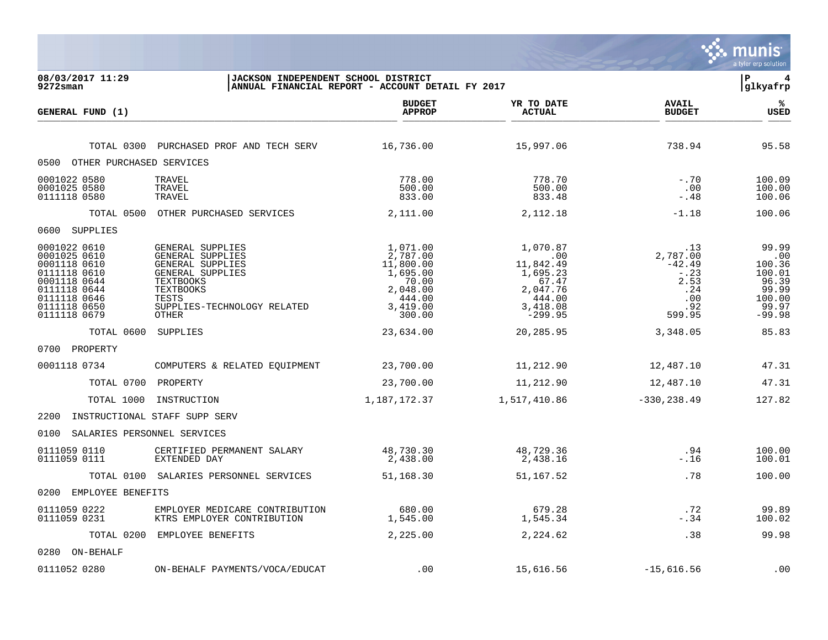|                                                                                                                                              |                                                                                                                                                                       |                                                                                                    |                                                                                                        |                                                                               | munis<br>a tyler erp solution                                                     |
|----------------------------------------------------------------------------------------------------------------------------------------------|-----------------------------------------------------------------------------------------------------------------------------------------------------------------------|----------------------------------------------------------------------------------------------------|--------------------------------------------------------------------------------------------------------|-------------------------------------------------------------------------------|-----------------------------------------------------------------------------------|
| 08/03/2017 11:29<br>9272sman                                                                                                                 | JACKSON INDEPENDENT SCHOOL DISTRICT                                                                                                                                   | ANNUAL FINANCIAL REPORT - ACCOUNT DETAIL FY 2017                                                   |                                                                                                        |                                                                               | l P<br> glkyafrp                                                                  |
| GENERAL FUND (1)                                                                                                                             |                                                                                                                                                                       | <b>BUDGET</b><br><b>APPROP</b>                                                                     | YR TO DATE<br><b>ACTUAL</b>                                                                            | <b>AVAIL</b><br><b>BUDGET</b>                                                 | %<br><b>USED</b>                                                                  |
|                                                                                                                                              | TOTAL 0300 PURCHASED PROF AND TECH SERV                                                                                                                               | 16,736.00                                                                                          | 15,997.06                                                                                              | 738.94                                                                        | 95.58                                                                             |
| 0500 OTHER PURCHASED SERVICES                                                                                                                |                                                                                                                                                                       |                                                                                                    |                                                                                                        |                                                                               |                                                                                   |
| 0001022 0580<br>0001025 0580<br>0111118 0580                                                                                                 | TRAVEL<br>TRAVEL<br>TRAVEL                                                                                                                                            | 778.00<br>500.00<br>833.00                                                                         | 778.70<br>500.00<br>833.48                                                                             | $-.70$<br>.00<br>$-.48$                                                       | 100.09<br>100.00<br>100.06                                                        |
|                                                                                                                                              | TOTAL 0500 OTHER PURCHASED SERVICES                                                                                                                                   | 2,111.00                                                                                           | 2,112.18                                                                                               | $-1.18$                                                                       | 100.06                                                                            |
| 0600 SUPPLIES                                                                                                                                |                                                                                                                                                                       |                                                                                                    |                                                                                                        |                                                                               |                                                                                   |
| 0001022 0610<br>0001025 0610<br>0001118 0610<br>0111118 0610<br>0001118 0644<br>0111118 0644<br>0111118 0646<br>0111118 0650<br>0111118 0679 | GENERAL SUPPLIES<br>GENERAL SUPPLIES<br>GENERAL SUPPLIES<br>GENERAL SUPPLIES<br><b>TEXTBOOKS</b><br><b>TEXTBOOKS</b><br>TESTS<br>SUPPLIES-TECHNOLOGY RELATED<br>OTHER | 1,071.00<br>2,787.00<br>11,800.00<br>1,695.00<br>70.00<br>2,048.00<br>444.00<br>3,419.00<br>300.00 | 1,070.87<br>$\sim$ 00<br>11,842.49<br>1,695.23<br>67.47<br>2,047.76<br>444.00<br>3,418.08<br>$-299.95$ | .13<br>2,787.00<br>$-42.49$<br>$-0.23$<br>2.53<br>.24<br>.00<br>.92<br>599.95 | 99.99<br>.00<br>100.36<br>100.01<br>96.39<br>99.99<br>100.00<br>99.97<br>$-99.98$ |
| TOTAL 0600                                                                                                                                   | SUPPLIES                                                                                                                                                              | 23,634.00                                                                                          | 20,285.95                                                                                              | 3,348.05                                                                      | 85.83                                                                             |
| 0700 PROPERTY                                                                                                                                |                                                                                                                                                                       |                                                                                                    |                                                                                                        |                                                                               |                                                                                   |
| 0001118 0734                                                                                                                                 | COMPUTERS & RELATED EQUIPMENT                                                                                                                                         | 23,700.00                                                                                          | 11,212.90                                                                                              | 12,487.10                                                                     | 47.31                                                                             |
| TOTAL 0700 PROPERTY                                                                                                                          |                                                                                                                                                                       | 23,700.00                                                                                          | 11,212.90                                                                                              | 12,487.10                                                                     | 47.31                                                                             |
| TOTAL 1000                                                                                                                                   | INSTRUCTION                                                                                                                                                           | 1,187,172.37                                                                                       | 1,517,410.86                                                                                           | $-330, 238.49$                                                                | 127.82                                                                            |
| 2200                                                                                                                                         | INSTRUCTIONAL STAFF SUPP SERV                                                                                                                                         |                                                                                                    |                                                                                                        |                                                                               |                                                                                   |
| 0100<br>SALARIES PERSONNEL SERVICES                                                                                                          |                                                                                                                                                                       |                                                                                                    |                                                                                                        |                                                                               |                                                                                   |
| 0111059 0110<br>0111059 0111                                                                                                                 | CERTIFIED PERMANENT SALARY<br>EXTENDED DAY                                                                                                                            | 48,730.30<br>2,438.00                                                                              | 48,729.36<br>2,438.16                                                                                  | .94<br>$-.16$                                                                 | 100.00<br>100.01                                                                  |
|                                                                                                                                              | TOTAL 0100 SALARIES PERSONNEL SERVICES                                                                                                                                | 51,168.30                                                                                          | 51,167.52                                                                                              | .78                                                                           | 100.00                                                                            |
| 0200 EMPLOYEE BENEFITS                                                                                                                       |                                                                                                                                                                       |                                                                                                    |                                                                                                        |                                                                               |                                                                                   |
| 0111059 0222<br>0111059 0231                                                                                                                 | EMPLOYER MEDICARE CONTRIBUTION<br>KTRS EMPLOYER CONTRIBUTION                                                                                                          | 680.00<br>1,545.00                                                                                 | 679.28<br>1,545.34                                                                                     | .72<br>$-.34$                                                                 | 99.89<br>100.02                                                                   |
|                                                                                                                                              | TOTAL 0200 EMPLOYEE BENEFITS                                                                                                                                          | 2,225.00                                                                                           | 2,224.62                                                                                               | .38                                                                           | 99.98                                                                             |
| 0280 ON-BEHALF                                                                                                                               |                                                                                                                                                                       |                                                                                                    |                                                                                                        |                                                                               |                                                                                   |
| 0111052 0280                                                                                                                                 | ON-BEHALF PAYMENTS/VOCA/EDUCAT                                                                                                                                        | .00                                                                                                | 15,616.56                                                                                              | $-15,616.56$                                                                  | .00                                                                               |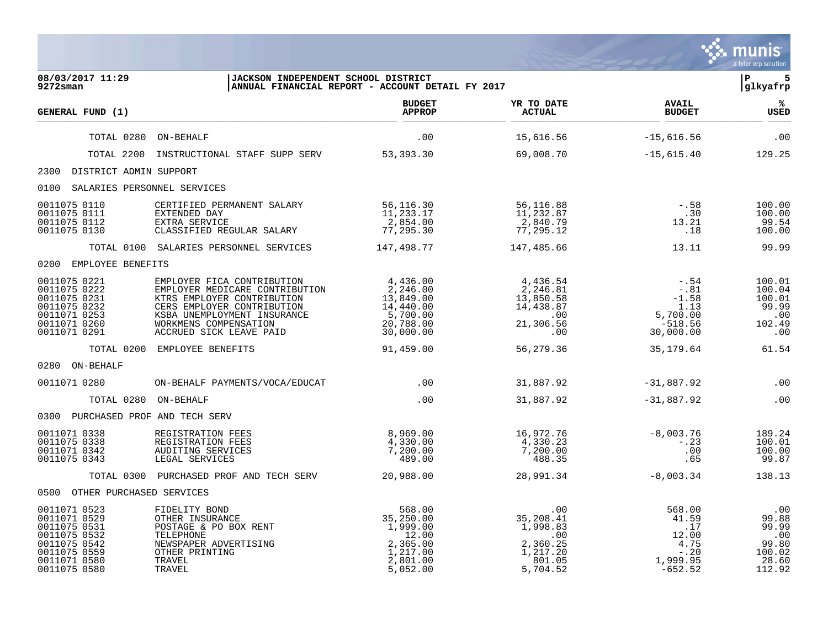|                                                                                                                              |                                                                                                                                       |                                                                                           |                                                                                   |                                                                                                  | munis<br>a tyler erp solution                                                        |
|------------------------------------------------------------------------------------------------------------------------------|---------------------------------------------------------------------------------------------------------------------------------------|-------------------------------------------------------------------------------------------|-----------------------------------------------------------------------------------|--------------------------------------------------------------------------------------------------|--------------------------------------------------------------------------------------|
| 08/03/2017 11:29<br>$9272$ sman                                                                                              | JACKSON INDEPENDENT SCHOOL DISTRICT                                                                                                   | ANNUAL FINANCIAL REPORT - ACCOUNT DETAIL FY 2017                                          |                                                                                   |                                                                                                  | l P<br>5<br>glkyafrp                                                                 |
| GENERAL FUND (1)                                                                                                             |                                                                                                                                       | <b>BUDGET</b><br><b>APPROP</b>                                                            | YR TO DATE<br><b>ACTUAL</b>                                                       | <b>AVAIL</b><br><b>BUDGET</b>                                                                    | ℁<br><b>USED</b>                                                                     |
| TOTAL 0280                                                                                                                   | ON-BEHALF                                                                                                                             | .00                                                                                       | 15,616.56                                                                         | $-15,616.56$                                                                                     | .00                                                                                  |
| TOTAL 2200                                                                                                                   | INSTRUCTIONAL STAFF SUPP SERV 53,393.30                                                                                               |                                                                                           | 69,008.70                                                                         | $-15,615.40$                                                                                     | 129.25                                                                               |
| 2300 DISTRICT ADMIN SUPPORT                                                                                                  |                                                                                                                                       |                                                                                           |                                                                                   |                                                                                                  |                                                                                      |
| 0100 SALARIES PERSONNEL SERVICES                                                                                             |                                                                                                                                       |                                                                                           |                                                                                   |                                                                                                  |                                                                                      |
| 0011075 0110<br>0011075 0111<br>0011075 0112<br>0011075 0130                                                                 | CERTIFIED PERMANENT SALARY<br>EXTENDED DAY<br>EXTRA SERVICE<br>CLASSIFIED REGULAR SALARY                                              | 56, 116.30<br>11, 233.17<br>2, 854.00<br>-7, 295.30                                       | 56,116.88<br>11,232.87<br>2,840.79<br>77,295.12                                   | $- 0.58$<br>.30<br>13.21<br>$\ldots$                                                             | 100.00<br>100.00<br>99.54<br>100.00                                                  |
|                                                                                                                              | TOTAL 0100 SALARIES PERSONNEL SERVICES                                                                                                | 147,498.77                                                                                | 147,485.66                                                                        | 13.11                                                                                            | 99.99                                                                                |
| 0200 EMPLOYEE BENEFITS                                                                                                       |                                                                                                                                       |                                                                                           |                                                                                   |                                                                                                  |                                                                                      |
| 0011075 0221<br>0011075 0222<br>0011075 0231<br>0011075 0232<br>0011071 0253<br>0011071 0260<br>0011071 0291                 |                                                                                                                                       |                                                                                           | 4,436.54<br>2,246.81<br>$13,850.58$<br>$14,438.87$<br>$00$<br>$21,306.56$<br>$00$ | $- 0.54$<br>$-0.81$<br>$-1.58$<br>1.13<br>$1.13$<br>5,700.00<br>518.56<br>$-518.56$<br>30,000.00 | 100.01<br>100.04<br>100.01<br>99.99<br>.00<br>102.49<br>$\overline{\phantom{0}}$ .00 |
|                                                                                                                              | TOTAL 0200 EMPLOYEE BENEFITS                                                                                                          | 91,459.00                                                                                 | 56,279.36                                                                         | 35,179.64                                                                                        | 61.54                                                                                |
| 0280 ON-BEHALF                                                                                                               |                                                                                                                                       |                                                                                           |                                                                                   |                                                                                                  |                                                                                      |
| 0011071 0280                                                                                                                 | ON-BEHALF PAYMENTS/VOCA/EDUCAT                                                                                                        | $\sim$ 00                                                                                 | 31,887.92                                                                         | $-31,887.92$                                                                                     | .00                                                                                  |
| TOTAL 0280 ON-BEHALF                                                                                                         |                                                                                                                                       | .00                                                                                       | 31,887.92                                                                         | $-31,887.92$                                                                                     | .00                                                                                  |
| 0300 PURCHASED PROF AND TECH SERV                                                                                            |                                                                                                                                       |                                                                                           |                                                                                   |                                                                                                  |                                                                                      |
| 0011071 0338<br>0011075 0338<br>0011071 0342<br>0011075 0343                                                                 | REGISTRATION FEES<br>REGISTRATION FEES<br>AUDITING SERVICES<br>LEGAL SERVICES                                                         | 8,969.00<br>4,330.00<br>7,200.00<br>1489.00                                               | 16,972.76<br>4,330.23<br>7,200.00<br>488.35                                       | $-8,003.76$<br>$-0.23$<br>.00<br>.65                                                             | 189.24<br>100.01<br>100.00<br>99.87                                                  |
|                                                                                                                              | TOTAL 0300 PURCHASED PROF AND TECH SERV 20,988.00                                                                                     |                                                                                           | 28,991.34                                                                         | $-8,003.34$                                                                                      | 138.13                                                                               |
| 0500 OTHER PURCHASED SERVICES                                                                                                |                                                                                                                                       |                                                                                           |                                                                                   |                                                                                                  |                                                                                      |
| 0011071 0523<br>0011071 0529<br>0011075 0531<br>0011075 0532<br>0011075 0542<br>0011075 0559<br>0011071 0580<br>0011075 0580 | FIDELITY BOND<br>OTHER INSURANCE<br>POSTAGE & PO BOX RENT<br>TELEPHONE<br>NEWSPAPER ADVERTISING<br>OTHER PRINTING<br>TRAVEL<br>TRAVEL | 568.00<br>35,250.00<br>1,999.00<br>12.00<br>2, 365.00<br>1,217.00<br>2,801.00<br>5,052.00 | .00<br>35,208.41<br>1,998.83<br>.00<br>2,360.25<br>1,217.20<br>801.05<br>5,704.52 | 568.00<br>41.59<br>$\cdot$ 17<br>12.00<br>4.75<br>$-0.20$<br>1,999.95<br>$-652.52$               | .00<br>99.88<br>99.99<br>$\cdot$ 00<br>99.80<br>100.02<br>28.60<br>112.92            |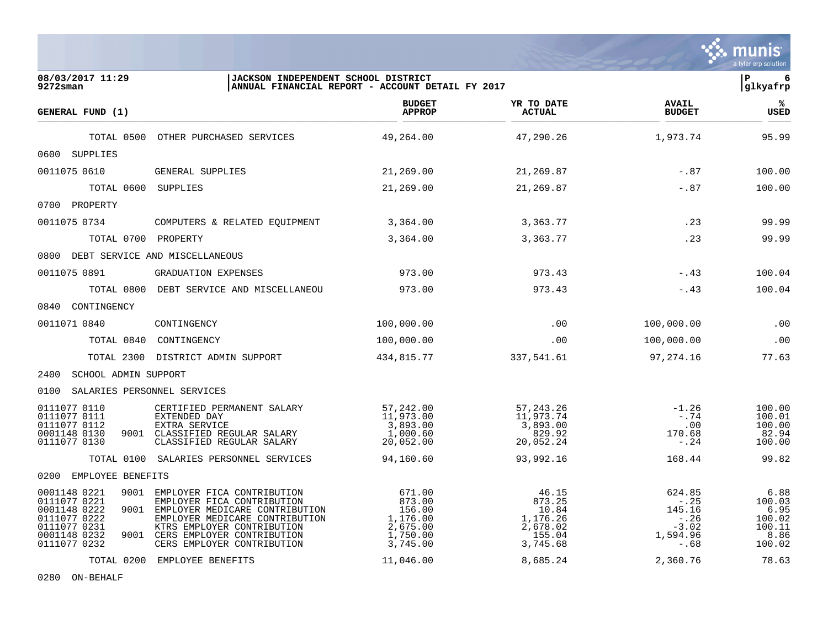|                                                                                                                              |                                                                                                                                                                                                                             |                                                                            |                                                                        |                                                                          | a tyler erp solution                                         |
|------------------------------------------------------------------------------------------------------------------------------|-----------------------------------------------------------------------------------------------------------------------------------------------------------------------------------------------------------------------------|----------------------------------------------------------------------------|------------------------------------------------------------------------|--------------------------------------------------------------------------|--------------------------------------------------------------|
| 08/03/2017 11:29<br>9272sman                                                                                                 | JACKSON INDEPENDENT SCHOOL DISTRICT                                                                                                                                                                                         | ANNUAL FINANCIAL REPORT - ACCOUNT DETAIL FY 2017                           |                                                                        |                                                                          | l P<br> glkyafrp                                             |
| GENERAL FUND (1)                                                                                                             |                                                                                                                                                                                                                             | <b>BUDGET</b><br><b>APPROP</b>                                             | YR TO DATE<br><b>ACTUAL</b>                                            | <b>AVAIL</b><br><b>BUDGET</b>                                            | ℁<br><b>USED</b>                                             |
|                                                                                                                              | TOTAL 0500 OTHER PURCHASED SERVICES                                                                                                                                                                                         | 49,264.00                                                                  | 47,290.26                                                              | 1,973.74                                                                 | 95.99                                                        |
| 0600 SUPPLIES                                                                                                                |                                                                                                                                                                                                                             |                                                                            |                                                                        |                                                                          |                                                              |
| 0011075 0610                                                                                                                 | GENERAL SUPPLIES                                                                                                                                                                                                            | 21,269.00                                                                  | 21,269.87                                                              | $-.87$                                                                   | 100.00                                                       |
| TOTAL 0600 SUPPLIES                                                                                                          |                                                                                                                                                                                                                             | 21,269.00                                                                  | 21,269.87                                                              | $-.87$                                                                   | 100.00                                                       |
| 0700 PROPERTY                                                                                                                |                                                                                                                                                                                                                             |                                                                            |                                                                        |                                                                          |                                                              |
| 0011075 0734                                                                                                                 | COMPUTERS & RELATED EQUIPMENT                                                                                                                                                                                               | 3,364.00                                                                   | 3,363.77                                                               | .23                                                                      | 99.99                                                        |
| TOTAL 0700 PROPERTY                                                                                                          |                                                                                                                                                                                                                             | 3,364.00                                                                   | 3,363.77                                                               | .23                                                                      | 99.99                                                        |
| 0800 DEBT SERVICE AND MISCELLANEOUS                                                                                          |                                                                                                                                                                                                                             |                                                                            |                                                                        |                                                                          |                                                              |
| 0011075 0891                                                                                                                 | GRADUATION EXPENSES                                                                                                                                                                                                         | 973.00                                                                     | 973.43                                                                 | $-.43$                                                                   | 100.04                                                       |
|                                                                                                                              | TOTAL 0800 DEBT SERVICE AND MISCELLANEOU                                                                                                                                                                                    | 973.00                                                                     | 973.43                                                                 | $-.43$                                                                   | 100.04                                                       |
| 0840 CONTINGENCY                                                                                                             |                                                                                                                                                                                                                             |                                                                            |                                                                        |                                                                          |                                                              |
| 0011071 0840                                                                                                                 | CONTINGENCY                                                                                                                                                                                                                 | 100,000.00                                                                 | .00                                                                    | 100,000.00                                                               | .00                                                          |
|                                                                                                                              | TOTAL 0840 CONTINGENCY                                                                                                                                                                                                      | 100,000.00                                                                 | .00                                                                    | 100,000.00                                                               | .00                                                          |
| TOTAL 2300                                                                                                                   | DISTRICT ADMIN SUPPORT                                                                                                                                                                                                      | 434,815.77                                                                 | 337,541.61                                                             | 97,274.16                                                                | 77.63                                                        |
| 2400<br>SCHOOL ADMIN SUPPORT                                                                                                 |                                                                                                                                                                                                                             |                                                                            |                                                                        |                                                                          |                                                              |
| SALARIES PERSONNEL SERVICES<br>0100                                                                                          |                                                                                                                                                                                                                             |                                                                            |                                                                        |                                                                          |                                                              |
| 0111077 0110<br>0111077 0111<br>0111077 0112<br>0001148 0130<br>0111077 0130                                                 | CERTIFIED PERMANENT SALARY<br>EXTENDED DAY<br>EXTRA SERVICE<br>9001 CLASSIFIED REGULAR SALARY<br>CLASSIFIED REGULAR SALARY                                                                                                  | 57,242.00<br>11,973.00<br>3,893.00<br>1,000.60<br>20,052.00                | 57, 243. 26<br>11,973.74<br>3,893.00<br>829.92<br>20,052.24            | $-1.26$<br>$-.74$<br>.00<br>170.68<br>-.24                               | 100.00<br>100.01<br>100.00<br>82.94<br>100.00                |
|                                                                                                                              | TOTAL 0100 SALARIES PERSONNEL SERVICES                                                                                                                                                                                      | 94,160.60                                                                  | 93,992.16                                                              | 168.44                                                                   | 99.82                                                        |
| 0200 EMPLOYEE BENEFITS                                                                                                       |                                                                                                                                                                                                                             |                                                                            |                                                                        |                                                                          |                                                              |
| 0001148 0221<br>9001<br>0111077 0221<br>0001148 0222<br>0111077 0222<br>0111077 0231<br>0001148 0232<br>9001<br>0111077 0232 | EMPLOYER FICA CONTRIBUTION<br>EMPLOYER FICA CONTRIBUTION<br>9001 EMPLOYER MEDICARE CONTRIBUTION<br>EMPLOYER MEDICARE CONTRIBUTION<br>KTRS EMPLOYER CONTRIBUTION<br>CERS EMPLOYER CONTRIBUTION<br>CERS EMPLOYER CONTRIBUTION | 671.00<br>873.00<br>156.00<br>1,176.00<br>2,675.00<br>1,750.00<br>3,745.00 | 46.15<br>873.25<br>10.84<br>1,176.26<br>2,678.02<br>155.04<br>3,745.68 | 624.85<br>$- 0.25$<br>145.16<br>$-0.26$<br>$-3.02$<br>1,594.96<br>$-.68$ | 6.88<br>100.03<br>6.95<br>100.02<br>100.11<br>8.86<br>100.02 |
|                                                                                                                              | TOTAL 0200 EMPLOYEE BENEFITS                                                                                                                                                                                                | 11,046.00                                                                  | 8,685.24                                                               | 2,360.76                                                                 | 78.63                                                        |

0280 ON-BEHALF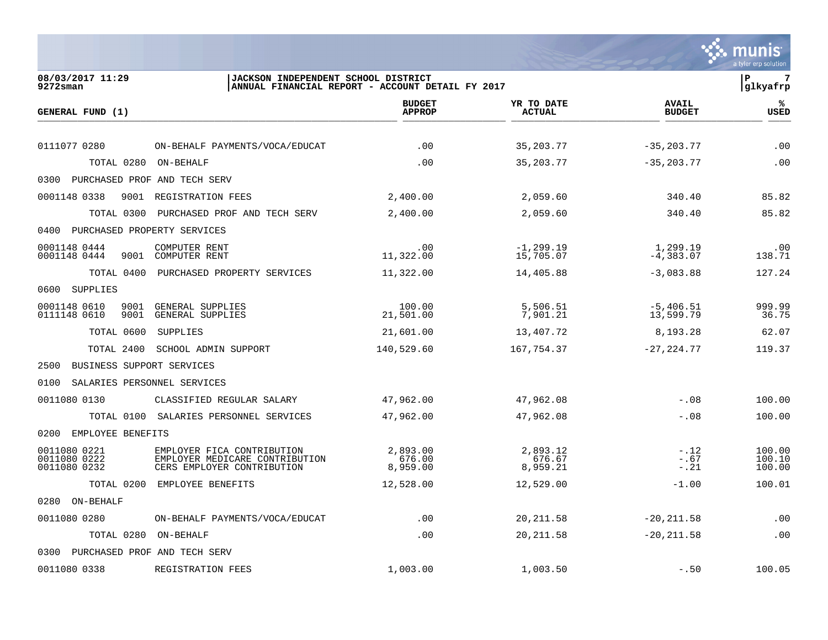|                                              |                                                                                            |                                                  |                                |                               | munis<br>a tyler erp solution |
|----------------------------------------------|--------------------------------------------------------------------------------------------|--------------------------------------------------|--------------------------------|-------------------------------|-------------------------------|
| 08/03/2017 11:29<br>$9272$ sman              | JACKSON INDEPENDENT SCHOOL DISTRICT                                                        | ANNUAL FINANCIAL REPORT - ACCOUNT DETAIL FY 2017 |                                |                               | 7<br>ΙP<br>glkyafrp           |
| GENERAL FUND (1)                             |                                                                                            | <b>BUDGET</b><br><b>APPROP</b>                   | YR TO DATE<br><b>ACTUAL</b>    | <b>AVAIL</b><br><b>BUDGET</b> | ℁<br><b>USED</b>              |
| 0111077 0280                                 | ON-BEHALF PAYMENTS/VOCA/EDUCAT                                                             | .00                                              | 35, 203. 77                    | $-35, 203, 77$                | .00                           |
| TOTAL 0280                                   | ON-BEHALF                                                                                  | .00                                              | 35, 203. 77                    | $-35, 203.77$                 | .00                           |
| 0300                                         | PURCHASED PROF AND TECH SERV                                                               |                                                  |                                |                               |                               |
| 0001148 0338<br>9001                         | REGISTRATION FEES                                                                          | 2,400.00                                         | 2,059.60                       | 340.40                        | 85.82                         |
| TOTAL 0300                                   | PURCHASED PROF AND TECH SERV                                                               | 2,400.00                                         | 2,059.60                       | 340.40                        | 85.82                         |
| PURCHASED PROPERTY SERVICES<br>0400          |                                                                                            |                                                  |                                |                               |                               |
| 0001148 0444<br>0001148 0444<br>9001         | COMPUTER RENT<br>COMPUTER RENT                                                             | .00<br>11,322.00                                 | $-1, 299.19$<br>15,705.07      | 1,299.19<br>$-4,383.07$       | .00<br>138.71                 |
| TOTAL 0400                                   | PURCHASED PROPERTY SERVICES                                                                | 11,322.00                                        | 14,405.88                      | $-3,083.88$                   | 127.24                        |
| SUPPLIES<br>0600                             |                                                                                            |                                                  |                                |                               |                               |
| 0001148 0610<br>9001<br>0111148 0610<br>9001 | GENERAL SUPPLIES<br>GENERAL SUPPLIES                                                       | 100.00<br>21,501.00                              | 5,506.51<br>7,901.21           | $-5,406.51$<br>13,599.79      | 999.99<br>36.75               |
| TOTAL 0600                                   | <b>SUPPLIES</b>                                                                            | 21,601.00                                        | 13,407.72                      | 8,193.28                      | 62.07                         |
| TOTAL 2400                                   | SCHOOL ADMIN SUPPORT                                                                       | 140,529.60                                       | 167,754.37                     | $-27, 224.77$                 | 119.37                        |
| BUSINESS SUPPORT SERVICES<br>2500            |                                                                                            |                                                  |                                |                               |                               |
| 0100<br>SALARIES PERSONNEL SERVICES          |                                                                                            |                                                  |                                |                               |                               |
| 0011080 0130                                 | CLASSIFIED REGULAR SALARY                                                                  | 47,962.00                                        | 47,962.08                      | $-.08$                        | 100.00                        |
| TOTAL 0100                                   | SALARIES PERSONNEL SERVICES                                                                | 47,962.00                                        | 47,962.08                      | $-.08$                        | 100.00                        |
| 0200<br>EMPLOYEE BENEFITS                    |                                                                                            |                                                  |                                |                               |                               |
| 0011080 0221<br>0011080 0222<br>0011080 0232 | EMPLOYER FICA CONTRIBUTION<br>EMPLOYER MEDICARE CONTRIBUTION<br>CERS EMPLOYER CONTRIBUTION | 2,893.00<br>676.00<br>8,959.00                   | 2,893.12<br>676.67<br>8,959.21 | $-.12$<br>$-.67$<br>$-.21$    | 100.00<br>100.10<br>100.00    |
| TOTAL 0200                                   | EMPLOYEE BENEFITS                                                                          | 12,528.00                                        | 12,529.00                      | $-1.00$                       | 100.01                        |
| 0280 ON-BEHALF                               |                                                                                            |                                                  |                                |                               |                               |
| 0011080 0280                                 | ON-BEHALF PAYMENTS/VOCA/EDUCAT                                                             | .00                                              | 20, 211.58                     | $-20, 211.58$                 | .00                           |
| TOTAL 0280                                   | ON-BEHALF                                                                                  | .00                                              | 20, 211.58                     | $-20, 211.58$                 | .00                           |
| 0300                                         | PURCHASED PROF AND TECH SERV                                                               |                                                  |                                |                               |                               |
| 0011080 0338                                 | REGISTRATION FEES                                                                          | 1,003.00                                         | 1,003.50                       | $-.50$                        | 100.05                        |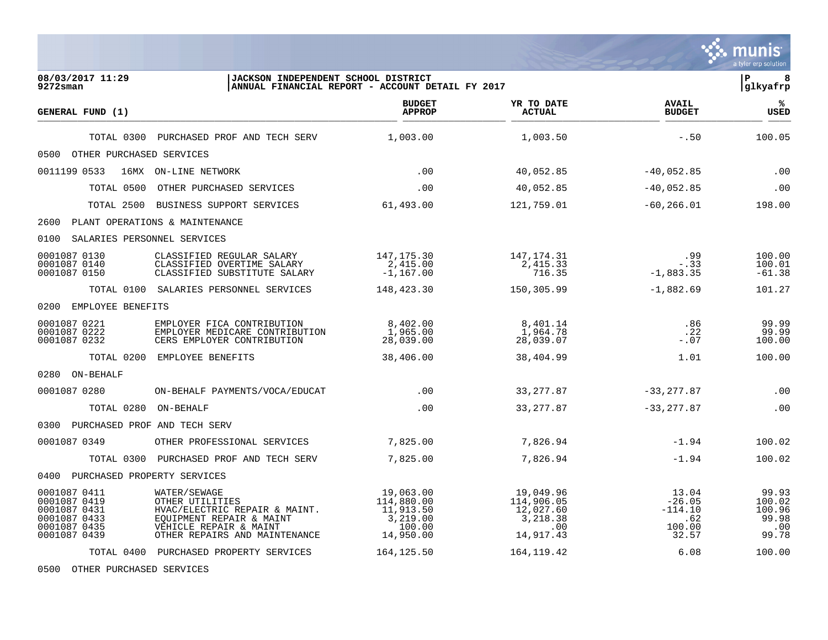|                                                                                              |                                                                                                                                                         |                                                                         |                                                                      |                                                          | munis<br>a tyler erp solution                           |
|----------------------------------------------------------------------------------------------|---------------------------------------------------------------------------------------------------------------------------------------------------------|-------------------------------------------------------------------------|----------------------------------------------------------------------|----------------------------------------------------------|---------------------------------------------------------|
| 08/03/2017 11:29<br>9272sman                                                                 | JACKSON INDEPENDENT SCHOOL DISTRICT                                                                                                                     | ANNUAL FINANCIAL REPORT - ACCOUNT DETAIL FY 2017                        |                                                                      |                                                          | l P<br> glkyafrp                                        |
| GENERAL FUND (1)                                                                             |                                                                                                                                                         | <b>BUDGET</b><br><b>APPROP</b>                                          | YR TO DATE<br><b>ACTUAL</b>                                          | <b>AVAIL</b><br><b>BUDGET</b>                            | %<br><b>USED</b>                                        |
| TOTAL 0300                                                                                   | PURCHASED PROF AND TECH SERV                                                                                                                            | 1,003.00                                                                | 1,003.50                                                             | $-.50$                                                   | 100.05                                                  |
| 0500<br>OTHER PURCHASED SERVICES                                                             |                                                                                                                                                         |                                                                         |                                                                      |                                                          |                                                         |
| 0011199 0533                                                                                 | 16MX ON-LINE NETWORK                                                                                                                                    | .00                                                                     | 40,052.85                                                            | $-40,052.85$                                             | .00                                                     |
| TOTAL 0500                                                                                   | OTHER PURCHASED SERVICES                                                                                                                                | .00                                                                     | 40,052.85                                                            | $-40,052.85$                                             | .00                                                     |
| TOTAL 2500                                                                                   | BUSINESS SUPPORT SERVICES                                                                                                                               | 61,493.00                                                               | 121,759.01                                                           | $-60, 266.01$                                            | 198.00                                                  |
| 2600                                                                                         | PLANT OPERATIONS & MAINTENANCE                                                                                                                          |                                                                         |                                                                      |                                                          |                                                         |
| 0100<br>SALARIES PERSONNEL SERVICES                                                          |                                                                                                                                                         |                                                                         |                                                                      |                                                          |                                                         |
| 0001087 0130<br>0001087 0140<br>0001087 0150                                                 | CLASSIFIED REGULAR SALARY<br>CLASSIFIED OVERTIME SALARY<br>CLASSIFIED SUBSTITUTE SALARY                                                                 | 147, 175.30<br>2,415.00<br>$-1,167.00$                                  | 147, 174. 31<br>2, 415.33<br>716.35                                  | .99<br>$-.33$<br>$-1,883.35$                             | 100.00<br>100.01<br>$-61.38$                            |
|                                                                                              | TOTAL 0100 SALARIES PERSONNEL SERVICES                                                                                                                  | 148,423.30                                                              | 150,305.99                                                           | $-1,882.69$                                              | 101.27                                                  |
| 0200 EMPLOYEE BENEFITS                                                                       |                                                                                                                                                         |                                                                         |                                                                      |                                                          |                                                         |
| 0001087 0221<br>0001087 0222<br>0001087 0232                                                 | EMPLOYER FICA CONTRIBUTION<br>EMPLOYER MEDICARE CONTRIBUTION<br>CERS EMPLOYER CONTRIBUTION                                                              | 8,402.00<br>1,965.00<br>28,039.00                                       | 8,401.14<br>1,964.78<br>28,039.07                                    | .86<br>.22<br>$-.07$                                     | 99.99<br>99.99<br>100.00                                |
|                                                                                              | TOTAL 0200 EMPLOYEE BENEFITS                                                                                                                            | 38,406.00                                                               | 38,404.99                                                            | 1.01                                                     | 100.00                                                  |
| 0280 ON-BEHALF                                                                               |                                                                                                                                                         |                                                                         |                                                                      |                                                          |                                                         |
| 0001087 0280                                                                                 | ON-BEHALF PAYMENTS/VOCA/EDUCAT                                                                                                                          | .00                                                                     | 33, 277.87                                                           | $-33, 277.87$                                            | .00                                                     |
| TOTAL 0280                                                                                   | ON-BEHALF                                                                                                                                               | .00                                                                     | 33, 277.87                                                           | $-33, 277.87$                                            | .00                                                     |
| 0300 PURCHASED PROF AND TECH SERV                                                            |                                                                                                                                                         |                                                                         |                                                                      |                                                          |                                                         |
| 0001087 0349                                                                                 | OTHER PROFESSIONAL SERVICES                                                                                                                             | 7,825.00                                                                | 7,826.94                                                             | $-1.94$                                                  | 100.02                                                  |
|                                                                                              | TOTAL 0300 PURCHASED PROF AND TECH SERV                                                                                                                 | 7,825.00                                                                | 7,826.94                                                             | $-1.94$                                                  | 100.02                                                  |
| 0400 PURCHASED PROPERTY SERVICES                                                             |                                                                                                                                                         |                                                                         |                                                                      |                                                          |                                                         |
| 0001087 0411<br>0001087 0419<br>0001087 0431<br>0001087 0433<br>0001087 0435<br>0001087 0439 | WATER/SEWAGE<br>OTHER UTILITIES<br>HVAC/ELECTRIC REPAIR & MAINT.<br>EQUIPMENT REPAIR & MAINT<br>VEHICLE REPAIR & MAINT<br>OTHER REPAIRS AND MAINTENANCE | 19,063.00<br>114,880.00<br>11,913.50<br>3,219.00<br>100.00<br>14,950.00 | 19,049.96<br>114,906.05<br>12,027.60<br>3,218.38<br>.00<br>14,917.43 | 13.04<br>$-26.05$<br>$-114.10$<br>.62<br>100.00<br>32.57 | 99.93<br>100.02<br>100.96<br>99.98<br>$\ldots$<br>99.78 |
|                                                                                              | TOTAL 0400 PURCHASED PROPERTY SERVICES                                                                                                                  | 164, 125.50                                                             | 164, 119.42                                                          | 6.08                                                     | 100.00                                                  |

0500 OTHER PURCHASED SERVICES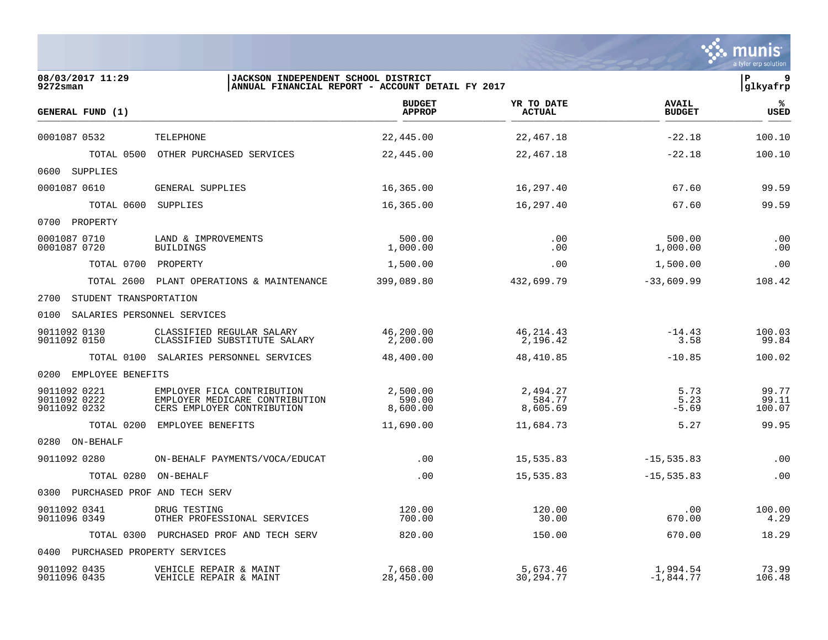|                                              |                                                                                            |                                                  |                                |                               | a tyler erp solution     |
|----------------------------------------------|--------------------------------------------------------------------------------------------|--------------------------------------------------|--------------------------------|-------------------------------|--------------------------|
| 08/03/2017 11:29<br>$9272$ sman              | JACKSON INDEPENDENT SCHOOL DISTRICT                                                        | ANNUAL FINANCIAL REPORT - ACCOUNT DETAIL FY 2017 |                                |                               | ΙP<br>9<br> glkyafrp     |
| GENERAL FUND (1)                             |                                                                                            | <b>BUDGET</b><br><b>APPROP</b>                   | YR TO DATE<br><b>ACTUAL</b>    | <b>AVAIL</b><br><b>BUDGET</b> | ℁<br>USED                |
| 0001087 0532                                 | TELEPHONE                                                                                  | 22,445.00                                        | 22,467.18                      | $-22.18$                      | 100.10                   |
| TOTAL 0500                                   | OTHER PURCHASED SERVICES                                                                   | 22,445.00                                        | 22,467.18                      | $-22.18$                      | 100.10                   |
| 0600<br>SUPPLIES                             |                                                                                            |                                                  |                                |                               |                          |
| 0001087 0610                                 | GENERAL SUPPLIES                                                                           | 16,365.00                                        | 16,297.40                      | 67.60                         | 99.59                    |
| TOTAL 0600                                   | SUPPLIES                                                                                   | 16,365.00                                        | 16,297.40                      | 67.60                         | 99.59                    |
| 0700<br>PROPERTY                             |                                                                                            |                                                  |                                |                               |                          |
| 0001087 0710<br>0001087 0720                 | LAND & IMPROVEMENTS<br><b>BUILDINGS</b>                                                    | 500.00<br>1,000.00                               | .00<br>.00                     | 500.00<br>1,000.00            | .00<br>.00               |
| TOTAL 0700                                   | PROPERTY                                                                                   | 1,500.00                                         | .00                            | 1,500.00                      | .00                      |
| TOTAL 2600                                   | PLANT OPERATIONS & MAINTENANCE                                                             | 399,089.80                                       | 432,699.79                     | $-33,609.99$                  | 108.42                   |
| 2700<br>STUDENT TRANSPORTATION               |                                                                                            |                                                  |                                |                               |                          |
| 0100<br>SALARIES PERSONNEL SERVICES          |                                                                                            |                                                  |                                |                               |                          |
| 9011092 0130<br>9011092 0150                 | CLASSIFIED REGULAR SALARY<br>CLASSIFIED SUBSTITUTE SALARY                                  | 46,200.00<br>2,200.00                            | 46, 214.43<br>2,196.42         | $-14.43$<br>3.58              | 100.03<br>99.84          |
|                                              | TOTAL 0100 SALARIES PERSONNEL SERVICES                                                     | 48,400.00                                        | 48,410.85                      | $-10.85$                      | 100.02                   |
| 0200<br>EMPLOYEE BENEFITS                    |                                                                                            |                                                  |                                |                               |                          |
| 9011092 0221<br>9011092 0222<br>9011092 0232 | EMPLOYER FICA CONTRIBUTION<br>EMPLOYER MEDICARE CONTRIBUTION<br>CERS EMPLOYER CONTRIBUTION | 2,500.00<br>590.00<br>8,600.00                   | 2,494.27<br>584.77<br>8,605.69 | 5.73<br>5.23<br>$-5.69$       | 99.77<br>99.11<br>100.07 |
| TOTAL 0200                                   | EMPLOYEE BENEFITS                                                                          | 11,690.00                                        | 11,684.73                      | 5.27                          | 99.95                    |
| 0280 ON-BEHALF                               |                                                                                            |                                                  |                                |                               |                          |
| 9011092 0280                                 | ON-BEHALF PAYMENTS/VOCA/EDUCAT                                                             | .00                                              | 15,535.83                      | $-15, 535.83$                 | .00                      |
| TOTAL 0280                                   | ON-BEHALF                                                                                  | .00                                              | 15,535.83                      | $-15, 535.83$                 | .00                      |
| 0300 PURCHASED PROF AND TECH SERV            |                                                                                            |                                                  |                                |                               |                          |
| 9011092 0341<br>9011096 0349                 | DRUG TESTING<br>OTHER PROFESSIONAL SERVICES                                                | 120.00<br>700.00                                 | 120.00<br>30.00                | .00<br>670.00                 | 100.00<br>4.29           |
| TOTAL 0300                                   | PURCHASED PROF AND TECH SERV                                                               | 820.00                                           | 150.00                         | 670.00                        | 18.29                    |
| PURCHASED PROPERTY SERVICES<br>0400          |                                                                                            |                                                  |                                |                               |                          |
| 9011092 0435<br>9011096 0435                 | VEHICLE REPAIR & MAINT<br>VEHICLE REPAIR & MAINT                                           | 7,668.00<br>28,450.00                            | 5,673.46<br>30, 294. 77        | 1,994.54<br>$-1,844.77$       | 73.99<br>106.48          |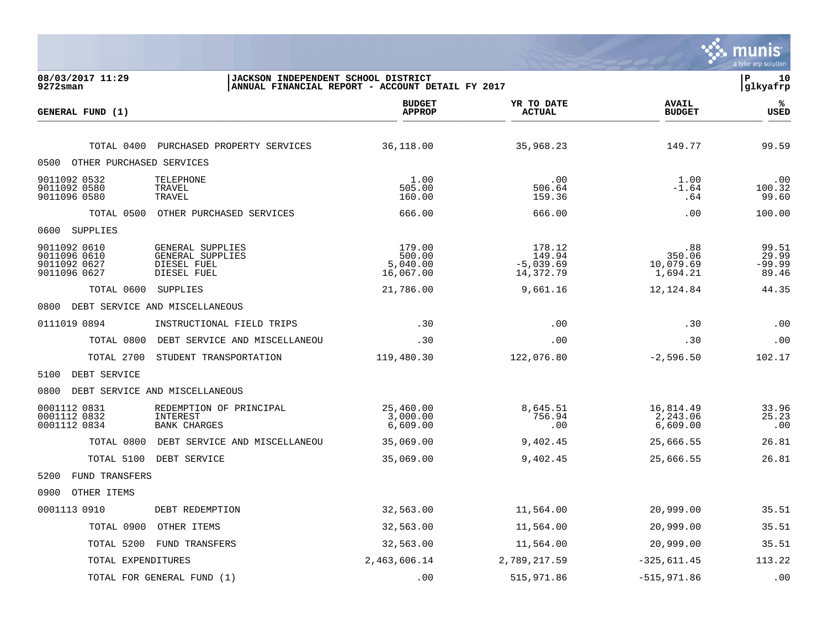|                                                              |                                                                    |                                                  |                                              |                                        | mu<br>a tyler erp solution          |
|--------------------------------------------------------------|--------------------------------------------------------------------|--------------------------------------------------|----------------------------------------------|----------------------------------------|-------------------------------------|
| 08/03/2017 11:29<br>$9272$ sman                              | JACKSON INDEPENDENT SCHOOL DISTRICT                                | ANNUAL FINANCIAL REPORT - ACCOUNT DETAIL FY 2017 |                                              |                                        | P<br>10<br> glkyafrp                |
| GENERAL FUND (1)                                             |                                                                    | <b>BUDGET</b><br><b>APPROP</b>                   | YR TO DATE<br><b>ACTUAL</b>                  | <b>AVAIL</b><br><b>BUDGET</b>          | ℁<br><b>USED</b>                    |
| TOTAL 0400                                                   | PURCHASED PROPERTY SERVICES                                        | 36,118.00                                        | 35,968.23                                    | 149.77                                 | 99.59                               |
| OTHER PURCHASED SERVICES<br>0500                             |                                                                    |                                                  |                                              |                                        |                                     |
| 9011092 0532<br>9011092 0580<br>9011096 0580                 | TELEPHONE<br>TRAVEL<br>TRAVEL                                      | 1.00<br>505.00<br>160.00                         | .00<br>506.64<br>159.36                      | 1.00<br>$-1.64$<br>.64                 | .00<br>100.32<br>99.60              |
| TOTAL 0500                                                   | OTHER PURCHASED SERVICES                                           | 666.00                                           | 666.00                                       | .00                                    | 100.00                              |
| 0600<br>SUPPLIES                                             |                                                                    |                                                  |                                              |                                        |                                     |
| 9011092 0610<br>9011096 0610<br>9011092 0627<br>9011096 0627 | GENERAL SUPPLIES<br>GENERAL SUPPLIES<br>DIESEL FUEL<br>DIESEL FUEL | 179.00<br>500.00<br>5,040.00<br>16,067.00        | 178.12<br>149.94<br>$-5,039.69$<br>14,372.79 | .88<br>350.06<br>10,079.69<br>1,694.21 | 99.51<br>29.99<br>$-99.99$<br>89.46 |
| TOTAL 0600                                                   | SUPPLIES                                                           | 21,786.00                                        | 9,661.16                                     | 12,124.84                              | 44.35                               |
| 0800                                                         | DEBT SERVICE AND MISCELLANEOUS                                     |                                                  |                                              |                                        |                                     |
| 0111019 0894                                                 | INSTRUCTIONAL FIELD TRIPS                                          | .30                                              | .00                                          | .30                                    | .00                                 |
| TOTAL 0800                                                   | DEBT SERVICE AND MISCELLANEOU                                      | .30                                              | .00                                          | .30                                    | .00                                 |
| TOTAL 2700                                                   | STUDENT TRANSPORTATION                                             | 119,480.30                                       | 122,076.80                                   | $-2,596.50$                            | 102.17                              |
| 5100<br>DEBT SERVICE                                         |                                                                    |                                                  |                                              |                                        |                                     |
| 0800                                                         | DEBT SERVICE AND MISCELLANEOUS                                     |                                                  |                                              |                                        |                                     |
| 0001112 0831<br>0001112 0832<br>0001112 0834                 | REDEMPTION OF PRINCIPAL<br>INTEREST<br><b>BANK CHARGES</b>         | 25,460.00<br>3,000.00<br>6,609.00                | 8,645.51<br>756.94<br>.00                    | 16,814.49<br>2,243.06<br>6,609.00      | 33.96<br>25.23<br>.00               |
| TOTAL 0800                                                   | DEBT SERVICE AND MISCELLANEOU                                      | 35,069.00                                        | 9,402.45                                     | 25,666.55                              | 26.81                               |
| TOTAL 5100                                                   | DEBT SERVICE                                                       | 35,069.00                                        | 9,402.45                                     | 25,666.55                              | 26.81                               |
| 5200<br><b>FUND TRANSFERS</b>                                |                                                                    |                                                  |                                              |                                        |                                     |
| 0900<br>OTHER ITEMS                                          |                                                                    |                                                  |                                              |                                        |                                     |
| 0001113 0910                                                 | DEBT REDEMPTION                                                    | 32,563.00                                        | 11,564.00                                    | 20,999.00                              | 35.51                               |
| TOTAL 0900                                                   | OTHER ITEMS                                                        | 32,563.00                                        | 11,564.00                                    | 20,999.00                              | 35.51                               |
| TOTAL 5200                                                   | FUND TRANSFERS                                                     | 32,563.00                                        | 11,564.00                                    | 20,999.00                              | 35.51                               |
| TOTAL EXPENDITURES                                           |                                                                    | 2,463,606.14                                     | 2,789,217.59                                 | $-325, 611.45$                         | 113.22                              |
|                                                              | TOTAL FOR GENERAL FUND (1)                                         | .00                                              | 515,971.86                                   | $-515,971.86$                          | .00                                 |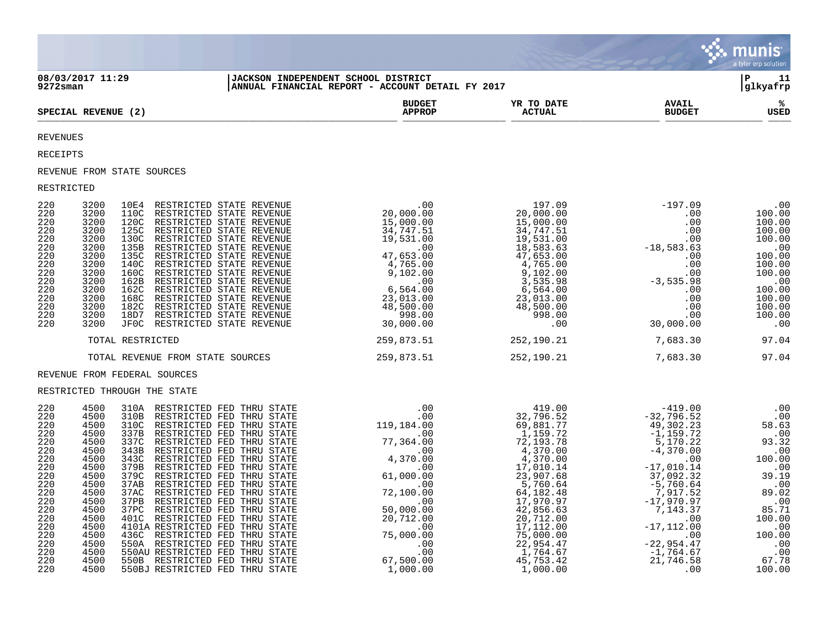|                                                                                                                                                                                                                                                                                                                                                                                                                                                                                                                                                                                                                                                                                                                                                                                                                                                                                                                                                                                                                           |                                     |                                                  |                                                                                                                                                                                                                                                                              |                               | munis<br>a tyler erp solution                   |
|---------------------------------------------------------------------------------------------------------------------------------------------------------------------------------------------------------------------------------------------------------------------------------------------------------------------------------------------------------------------------------------------------------------------------------------------------------------------------------------------------------------------------------------------------------------------------------------------------------------------------------------------------------------------------------------------------------------------------------------------------------------------------------------------------------------------------------------------------------------------------------------------------------------------------------------------------------------------------------------------------------------------------|-------------------------------------|--------------------------------------------------|------------------------------------------------------------------------------------------------------------------------------------------------------------------------------------------------------------------------------------------------------------------------------|-------------------------------|-------------------------------------------------|
| 08/03/2017 11:29<br>$9272$ sman                                                                                                                                                                                                                                                                                                                                                                                                                                                                                                                                                                                                                                                                                                                                                                                                                                                                                                                                                                                           | JACKSON INDEPENDENT SCHOOL DISTRICT | ANNUAL FINANCIAL REPORT - ACCOUNT DETAIL FY 2017 |                                                                                                                                                                                                                                                                              |                               | l P<br>11<br>glkyafrp                           |
| SPECIAL REVENUE (2)                                                                                                                                                                                                                                                                                                                                                                                                                                                                                                                                                                                                                                                                                                                                                                                                                                                                                                                                                                                                       |                                     | <b>BUDGET</b><br><b>APPROP</b>                   | YR TO DATE<br><b>ACTUAL</b>                                                                                                                                                                                                                                                  | <b>AVAIL</b><br><b>BUDGET</b> | USED                                            |
| <b>REVENUES</b>                                                                                                                                                                                                                                                                                                                                                                                                                                                                                                                                                                                                                                                                                                                                                                                                                                                                                                                                                                                                           |                                     |                                                  |                                                                                                                                                                                                                                                                              |                               |                                                 |
| RECEIPTS                                                                                                                                                                                                                                                                                                                                                                                                                                                                                                                                                                                                                                                                                                                                                                                                                                                                                                                                                                                                                  |                                     |                                                  |                                                                                                                                                                                                                                                                              |                               |                                                 |
| REVENUE FROM STATE SOURCES                                                                                                                                                                                                                                                                                                                                                                                                                                                                                                                                                                                                                                                                                                                                                                                                                                                                                                                                                                                                |                                     |                                                  |                                                                                                                                                                                                                                                                              |                               |                                                 |
| RESTRICTED                                                                                                                                                                                                                                                                                                                                                                                                                                                                                                                                                                                                                                                                                                                                                                                                                                                                                                                                                                                                                |                                     |                                                  |                                                                                                                                                                                                                                                                              |                               |                                                 |
| 220<br>3200<br>220<br>3200<br>220<br>3200<br>220<br>3200<br>220<br>3200<br>3200<br>220<br>220<br>3200<br>220<br>3200<br>220<br>3200<br>3200<br>220<br>3200<br>220<br>220<br>3200<br>220<br>3200<br>3200<br>220<br>220<br>3200                                                                                                                                                                                                                                                                                                                                                                                                                                                                                                                                                                                                                                                                                                                                                                                             |                                     |                                                  |                                                                                                                                                                                                                                                                              |                               |                                                 |
| TOTAL RESTRICTED                                                                                                                                                                                                                                                                                                                                                                                                                                                                                                                                                                                                                                                                                                                                                                                                                                                                                                                                                                                                          |                                     | 259,873.51 252,190.21                            |                                                                                                                                                                                                                                                                              | 7,683.30 97.04                |                                                 |
| TOTAL REVENUE FROM STATE SOURCES                                                                                                                                                                                                                                                                                                                                                                                                                                                                                                                                                                                                                                                                                                                                                                                                                                                                                                                                                                                          |                                     | 259,873.51 252,190.21                            |                                                                                                                                                                                                                                                                              | 7,683.30                      | 97.04                                           |
| REVENUE FROM FEDERAL SOURCES                                                                                                                                                                                                                                                                                                                                                                                                                                                                                                                                                                                                                                                                                                                                                                                                                                                                                                                                                                                              |                                     |                                                  |                                                                                                                                                                                                                                                                              |                               |                                                 |
| RESTRICTED THROUGH THE STATE                                                                                                                                                                                                                                                                                                                                                                                                                                                                                                                                                                                                                                                                                                                                                                                                                                                                                                                                                                                              |                                     |                                                  |                                                                                                                                                                                                                                                                              |                               |                                                 |
| 220<br>4500<br>310A RESTRICTED FED THRU STATE<br>4500<br>220<br>310B RESTRICTED FED THRU STATE<br>310C RESTRICTED FED THRU STATE<br>220<br>4500<br>337B RESTRICTED FED THRU STATE<br>220<br>4500<br>4500<br>337C RESTRICTED FED THRU STATE<br>220<br>4500<br>220<br>343B RESTRICTED FED THRU STATE<br>4500<br>343C RESTRICTED FED THRU STATE<br>220<br>379B<br>220<br>4500<br>RESTRICTED FED THRU STATE<br>4500<br>RESTRICTED FED THRU STATE<br>220<br>379C<br>4500<br>37AB RESTRICTED FED THRU STATE<br>220<br>220<br>4500<br>37AC RESTRICTED FED THRU STATE<br>37PB RESTRICTED FED THRU STATE<br>4500<br>220<br>4500<br>220<br>37PC RESTRICTED FED THRU STATE<br>4500<br>220<br>401C RESTRICTED FED THRU STATE<br>4101A RESTRICTED FED THRU STATE<br>220<br>4500<br>436C RESTRICTED FED THRU STATE<br>220<br>4500<br>4500<br>550A RESTRICTED FED THRU STATE<br>220<br>220<br>4500<br>550AU RESTRICTED FED THRU STATE<br>220<br>4500<br>550B RESTRICTED FED THRU STATE<br>550BJ RESTRICTED FED THRU STATE<br>4500<br>220 |                                     |                                                  | $\begin{array}{cccccc} .00 & 419.00 & -419.00 & 0.0 & 0.0 \\ 119.184.00 & 69.881.77 & -32.796.52 & 0.00 \\ 119.184.00 & 69.881.77 & 49.302.23 & 58.63 \\ 77.364.00 & 72.193.78 & -1.159.72 & 9.323 & 58.63 \\ 4.370.00 & 4.370.00 & 4.370.00 & -5.170.22 & 93.32 \\ 4.370.0$ |                               | $\begin{array}{c} . & 00 \\ . & 00 \end{array}$ |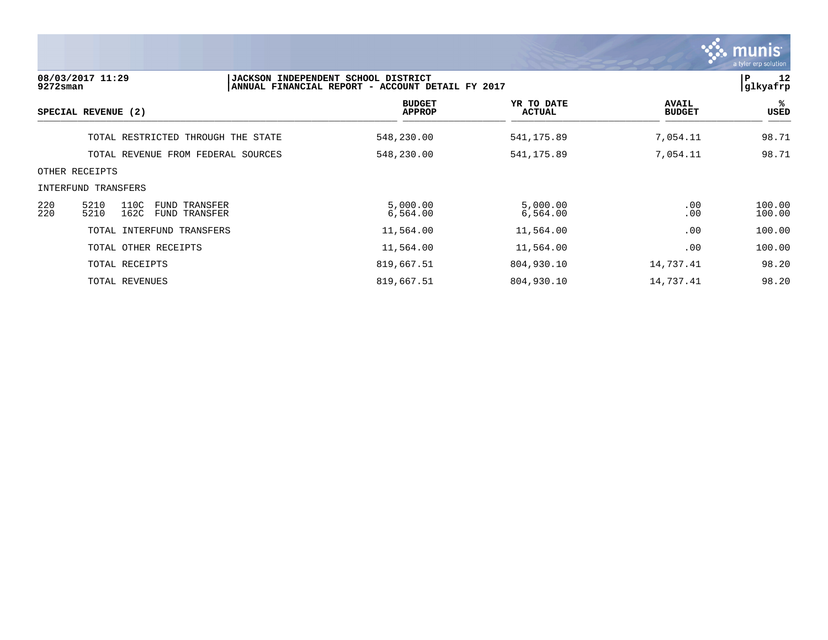|             |                                                                |                                                                                         |                             |                               | <b>munis</b><br>a tyler erp solution |
|-------------|----------------------------------------------------------------|-----------------------------------------------------------------------------------------|-----------------------------|-------------------------------|--------------------------------------|
| $9272$ sman | 08/03/2017 11:29                                               | JACKSON INDEPENDENT SCHOOL DISTRICT<br>ANNUAL FINANCIAL REPORT - ACCOUNT DETAIL FY 2017 |                             |                               | 12<br>P<br>glkyafrp                  |
|             | SPECIAL REVENUE (2)                                            | <b>BUDGET</b><br><b>APPROP</b>                                                          | YR TO DATE<br><b>ACTUAL</b> | <b>AVAIL</b><br><b>BUDGET</b> | %ะ<br>USED                           |
|             | TOTAL RESTRICTED THROUGH THE STATE                             | 548,230.00                                                                              | 541,175.89                  | 7,054.11                      | 98.71                                |
|             | TOTAL REVENUE FROM FEDERAL SOURCES                             | 548,230.00                                                                              | 541,175.89                  | 7,054.11                      | 98.71                                |
|             | OTHER RECEIPTS                                                 |                                                                                         |                             |                               |                                      |
|             | INTERFUND TRANSFERS                                            |                                                                                         |                             |                               |                                      |
| 220<br>220  | 5210<br>110C<br>FUND TRANSFER<br>5210<br>162C<br>FUND TRANSFER | 5,000.00<br>6,564.00                                                                    | 5,000.00<br>6,564.00        | .00<br>.00                    | 100.00<br>100.00                     |
|             | TOTAL INTERFUND TRANSFERS                                      | 11,564.00                                                                               | 11,564.00                   | .00                           | 100.00                               |
|             | TOTAL OTHER RECEIPTS                                           | 11,564.00                                                                               | 11,564.00                   | .00                           | 100.00                               |
|             | TOTAL RECEIPTS                                                 | 819,667.51                                                                              | 804,930.10                  | 14,737.41                     | 98.20                                |
|             | TOTAL REVENUES                                                 | 819,667.51                                                                              | 804,930.10                  | 14,737.41                     | 98.20                                |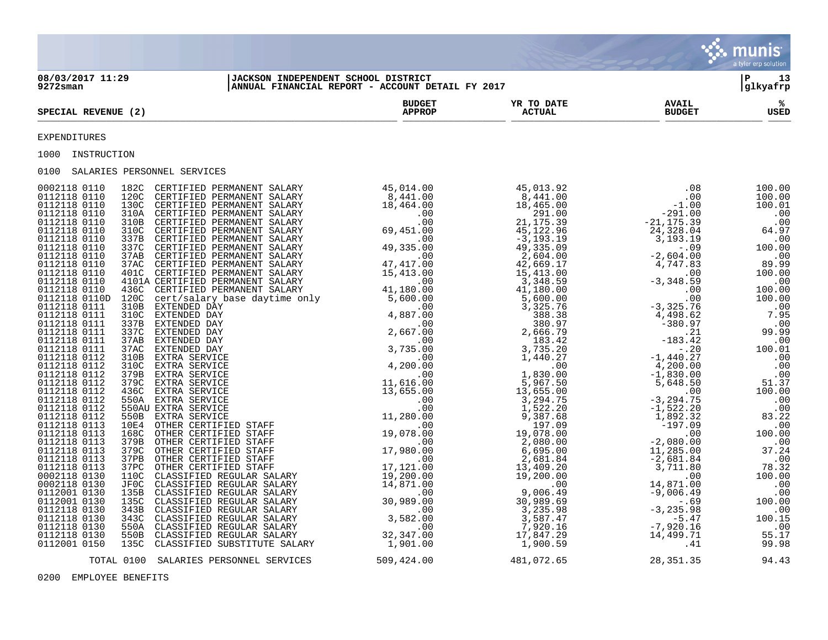|                                                                                                                                                                                                                                                                                      |                                |               |               | <b>Cole HIUHIS</b><br>a tyler erp solution |
|--------------------------------------------------------------------------------------------------------------------------------------------------------------------------------------------------------------------------------------------------------------------------------------|--------------------------------|---------------|---------------|--------------------------------------------|
| 08/03/2017 11:29<br> JACKSON INDEPENDENT SCHOOL DISTRICT<br> ANNUAL FINANCIAL REPORT - ACCOUNT DETAIL FY 2017<br>$9272$ sman                                                                                                                                                         |                                |               |               | l P<br>13<br> glkyafrp                     |
| SPECIAL REVENUE (2)                                                                                                                                                                                                                                                                  | <b>BUDGET</b><br><b>APPROP</b> | <b>ACTUAL</b> | <b>BUDGET</b> | ್ಯ<br>USED                                 |
| EXPENDITURES                                                                                                                                                                                                                                                                         |                                |               |               |                                            |
| 1000 INSTRUCTION                                                                                                                                                                                                                                                                     |                                |               |               |                                            |
| 0100 SALARIES PERSONNEL SERVICES                                                                                                                                                                                                                                                     |                                |               |               |                                            |
| $\begin{array}{cccccccccccc} 0.12 & 0.4 & 0.14 & 0 & 0.2 & 0.02 & 0.02 & 0.02 & 0.02 & 0.02 & 0.02 & 0.02 & 0.02 & 0.02 & 0.02 & 0.02 & 0.02 & 0.02 & 0.02 & 0.02 & 0.02 & 0.02 & 0.02 & 0.02 & 0.02 & 0.02 & 0.02 & 0.02 & 0.02 & 0.02 & 0.02 & 0.02 & 0.02 & 0.02 & 0.02 & 0.02 &$ |                                |               |               |                                            |
| TOTAL 0100 SALARIES PERSONNEL SERVICES                                                                                                                                                                                                                                               | 509,424.00                     | 481,072.65    | 28,351.35     | 94.43                                      |

 $\mathcal{L}$ 

0200 EMPLOYEE BENEFITS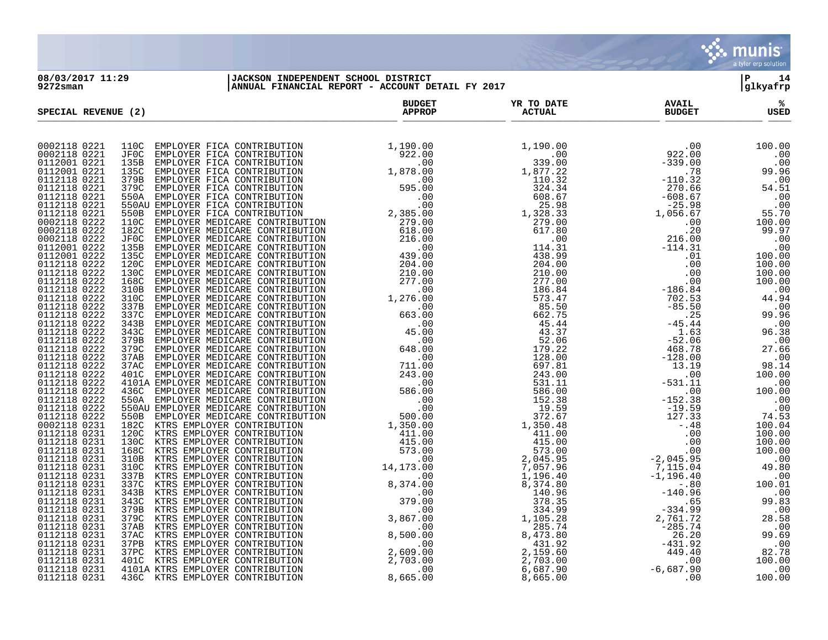

**08/03/2017 11:29 |JACKSON INDEPENDENT SCHOOL DISTRICT |P 14 9272sman |ANNUAL FINANCIAL REPORT - ACCOUNT DETAIL FY 2017 |glkyafrp**

| SPECIAL REVENUE (2)          | <b>BUDGET</b><br><b>APPROP</b> | YR TO DATE<br><b>ACTUAL</b> | <b>AVAIL</b><br><b>BUDGET</b> | ℁<br>USED |
|------------------------------|--------------------------------|-----------------------------|-------------------------------|-----------|
|                              |                                |                             |                               |           |
| 0002118 0221                 |                                |                             |                               |           |
| 0002118 0221                 |                                |                             |                               |           |
| 0112001 0221                 |                                |                             |                               |           |
| 0112001 0221                 |                                |                             |                               |           |
| 0112118 0221<br>0112118 0221 |                                |                             |                               |           |
| 0112118 0221                 |                                |                             |                               |           |
| 0112118 0221                 |                                |                             |                               |           |
| 0112118 0221                 |                                |                             |                               |           |
| 0002118 0222                 |                                |                             |                               |           |
| 0002118 0222                 |                                |                             |                               |           |
| 0002118 0222                 |                                |                             |                               |           |
| 0112001 0222                 |                                |                             |                               |           |
| 0112001 0222                 |                                |                             |                               |           |
| 0112118 0222<br>0112118 0222 |                                |                             |                               |           |
| 0112118 0222                 |                                |                             |                               |           |
| 0112118 0222                 |                                |                             |                               |           |
| 0112118 0222                 |                                |                             |                               |           |
| 0112118 0222                 |                                |                             |                               |           |
| 0112118 0222                 |                                |                             |                               |           |
| 0112118 0222                 |                                |                             |                               |           |
| 0112118 0222                 |                                |                             |                               |           |
| 0112118 0222<br>0112118 0222 |                                |                             |                               |           |
| 0112118 0222                 |                                |                             |                               |           |
| 0112118 0222                 |                                |                             |                               |           |
| 0112118 0222                 |                                |                             |                               |           |
| 0112118 0222                 |                                |                             |                               |           |
| 0112118 0222                 |                                |                             |                               |           |
| 0112118 0222                 |                                |                             |                               |           |
| 0112118 0222<br>0112118 0222 |                                |                             |                               |           |
| 0002118 0231                 |                                |                             |                               |           |
| 0112118 0231                 |                                |                             |                               |           |
| 0112118 0231                 |                                |                             |                               |           |
| 0112118 0231                 |                                |                             |                               |           |
| 0112118 0231                 |                                |                             |                               |           |
| 0112118 0231                 |                                |                             |                               |           |
| 0112118 0231                 |                                |                             |                               |           |
| 0112118 0231<br>0112118 0231 |                                |                             |                               |           |
| 0112118 0231                 |                                |                             |                               |           |
| 0112118 0231                 |                                |                             |                               |           |
| 0112118 0231                 |                                |                             |                               |           |
| 0112118 0231                 |                                |                             |                               |           |
| 0112118 0231                 |                                |                             |                               |           |
| 0112118 0231                 |                                |                             |                               |           |
| 0112118 0231                 |                                |                             |                               |           |
| 0112118 0231<br>0112118 0231 |                                |                             |                               |           |
| 0112118 0231                 |                                |                             |                               |           |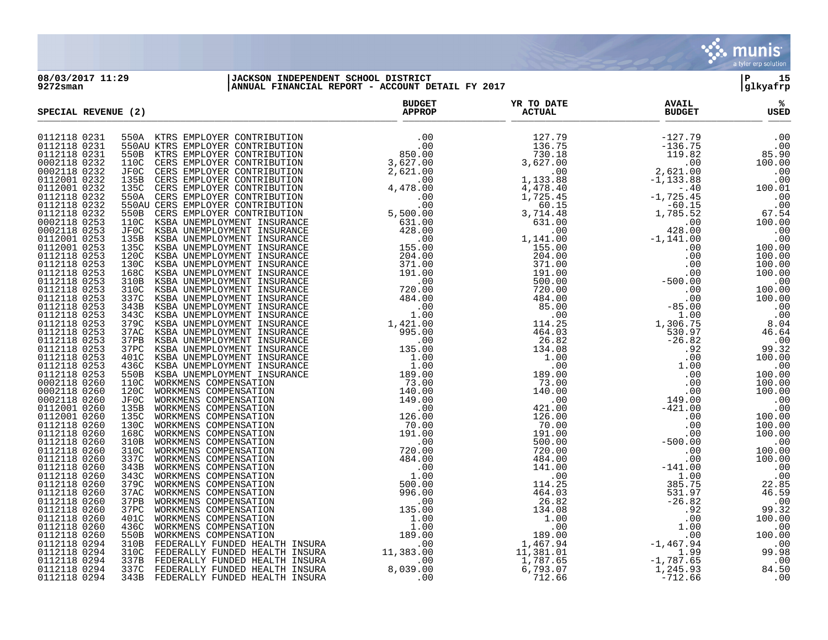

## **08/03/2017 11:29 |JACKSON INDEPENDENT SCHOOL DISTRICT |P 15 9272sman |ANNUAL FINANCIAL REPORT - ACCOUNT DETAIL FY 2017 |glkyafrp**

| SPECIAL REVENUE (2) | <b>BUDGET</b><br><b>APPROP</b> | YR TO DATE<br><b>ACTUAL</b> | <b>AVAIL</b><br><b>BUDGET</b> | ℁<br>USED |
|---------------------|--------------------------------|-----------------------------|-------------------------------|-----------|
| 0112118 0231        |                                |                             |                               |           |
| 0112118 0231        |                                |                             |                               |           |
| 0112118 0231        |                                |                             |                               |           |
| 0002118 0232        |                                |                             |                               |           |
| 0002118 0232        |                                |                             |                               |           |
| 0112001 0232        |                                |                             |                               |           |
| 0112001 0232        |                                |                             |                               |           |
| 0112118 0232        |                                |                             |                               |           |
| 0112118 0232        |                                |                             |                               |           |
| 0112118 0232        |                                |                             |                               |           |
| 0002118 0253        |                                |                             |                               |           |
| 0002118 0253        |                                |                             |                               |           |
| 0112001 0253        |                                |                             |                               |           |
| 0112001 0253        |                                |                             |                               |           |
| 0112118 0253        |                                |                             |                               |           |
| 0112118 0253        |                                |                             |                               |           |
| 0112118 0253        |                                |                             |                               |           |
| 0112118 0253        |                                |                             |                               |           |
| 0112118 0253        |                                |                             |                               |           |
| 0112118 0253        |                                |                             |                               |           |
| 0112118 0253        |                                |                             |                               |           |
| 0112118 0253        |                                |                             |                               |           |
| 0112118 0253        |                                |                             |                               |           |
| 0112118 0253        |                                |                             |                               |           |
| 0112118 0253        |                                |                             |                               |           |
| 0112118 0253        |                                |                             |                               |           |
| 0112118 0253        |                                |                             |                               |           |
| 0112118 0253        |                                |                             |                               |           |
| 0112118 0253        |                                |                             |                               |           |
| 0002118 0260        |                                |                             |                               |           |
| 0002118 0260        |                                |                             |                               |           |
| 0002118 0260        |                                |                             |                               |           |
| 0112001 0260        |                                |                             |                               |           |
| 0112001 0260        |                                |                             |                               |           |
| 0112118 0260        |                                |                             |                               |           |
| 0112118 0260        |                                |                             |                               |           |
| 0112118 0260        |                                |                             |                               |           |
| 0112118 0260        |                                |                             |                               |           |
| 0112118 0260        |                                |                             |                               |           |
| 0112118 0260        |                                |                             |                               |           |
| 0112118 0260        |                                |                             |                               |           |
| 0112118 0260        |                                |                             |                               |           |
| 0112118 0260        |                                |                             |                               |           |
| 0112118 0260        |                                |                             |                               |           |
| 0112118 0260        |                                |                             |                               |           |
| 0112118 0260        |                                |                             |                               |           |
| 0112118 0260        |                                |                             |                               |           |
| 0112118 0260        |                                |                             |                               |           |
| 0112118 0294        |                                |                             |                               |           |
| 0112118 0294        |                                |                             |                               |           |
| 0112118 0294        |                                |                             |                               |           |
| 0112118 0294        |                                |                             |                               |           |
| 0112118 0294        |                                |                             |                               |           |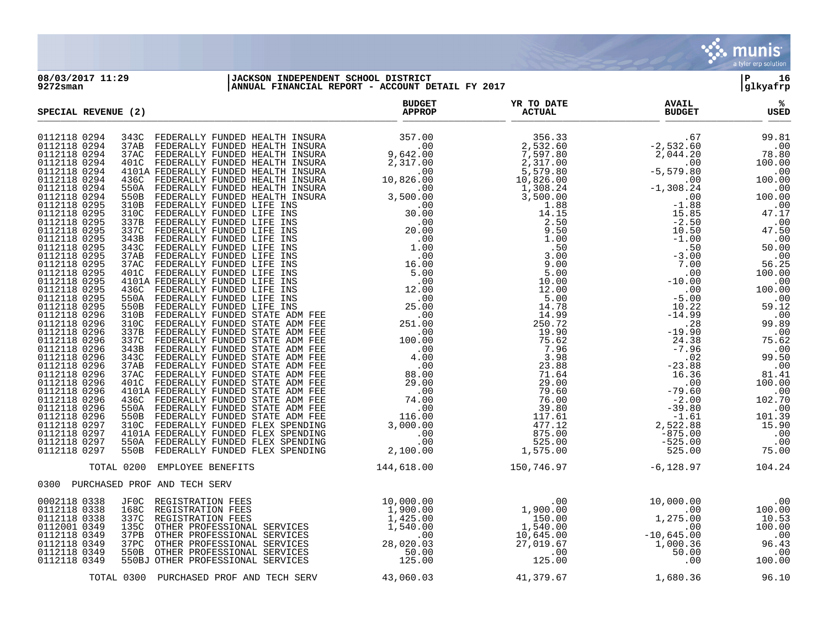

## **08/03/2017 11:29 |JACKSON INDEPENDENT SCHOOL DISTRICT |P 16 9272sman |ANNUAL FINANCIAL REPORT - ACCOUNT DETAIL FY 2017 |glkyafrp**

| SPECIAL REVENUE (2)                                                                                                                                                                                                                                                                                                                                                                                                                                                                                                                                                                          | <b>BUDGET</b><br><b>APPROP</b> | YR TO DATE<br><b>ACTUAL</b> | <b>AVAIL</b><br><b>BUDGET</b> | %<br>USED |
|----------------------------------------------------------------------------------------------------------------------------------------------------------------------------------------------------------------------------------------------------------------------------------------------------------------------------------------------------------------------------------------------------------------------------------------------------------------------------------------------------------------------------------------------------------------------------------------------|--------------------------------|-----------------------------|-------------------------------|-----------|
| 0112118 0294<br>0112118 0294<br>0112118 0294<br>0112118 0294<br>0112118 0294<br>0112118 0294<br>0112118 0294<br>0112118 0294<br>0112118 0295<br>0112118 0295<br>0112118 0295<br>0112118 0295<br>0112118 0295<br>0112118 0295<br>0112118 0295<br>0112118 0295<br>0112118 0295<br>0112118 0295<br>0112118 0295<br>0112118 0295<br>0112118 0295<br>0112118 0296<br>0112118 0296<br>0112118 0296<br>0112118 0296<br>0112118 0296<br>0112118 0296<br>0112118 0296<br>0112118 0296<br>0112118 0296<br>0112118 0296<br>0112118 0296<br>0112118 0296<br>0112118 0296<br>0112118 0297<br>0112118 0297 |                                |                             |                               |           |
| 0112118 0297<br>0112118 0297                                                                                                                                                                                                                                                                                                                                                                                                                                                                                                                                                                 |                                |                             |                               |           |
| TOTAL 0200<br>EMPLOYEE BENEFITS                                                                                                                                                                                                                                                                                                                                                                                                                                                                                                                                                              | 144,618.00                     | 150,746.97                  | $-6,128.97$ 104.24            |           |
| 0300 PURCHASED PROF AND TECH SERV                                                                                                                                                                                                                                                                                                                                                                                                                                                                                                                                                            |                                |                             |                               |           |
| 0002118 0338<br>JF0C REGISTRATION FEES<br>0112118 0338<br>168C REGISTRATION FEES<br>0112118 0338<br>337C<br>0112001 0349<br>135C<br>0112118 0349<br>37PB<br>0112118 0349<br>37PC<br>550B OTHER PROFESSIONAL SERVICES<br>0112118 0349<br>0112118 0349<br>550BJ OTHER PROFESSIONAL SERVICES                                                                                                                                                                                                                                                                                                    |                                |                             |                               |           |
| TOTAL 0300 PURCHASED PROF AND TECH SERV                                                                                                                                                                                                                                                                                                                                                                                                                                                                                                                                                      | 43,060.03                      | 41,379.67                   | 1,680.36                      | 96.10     |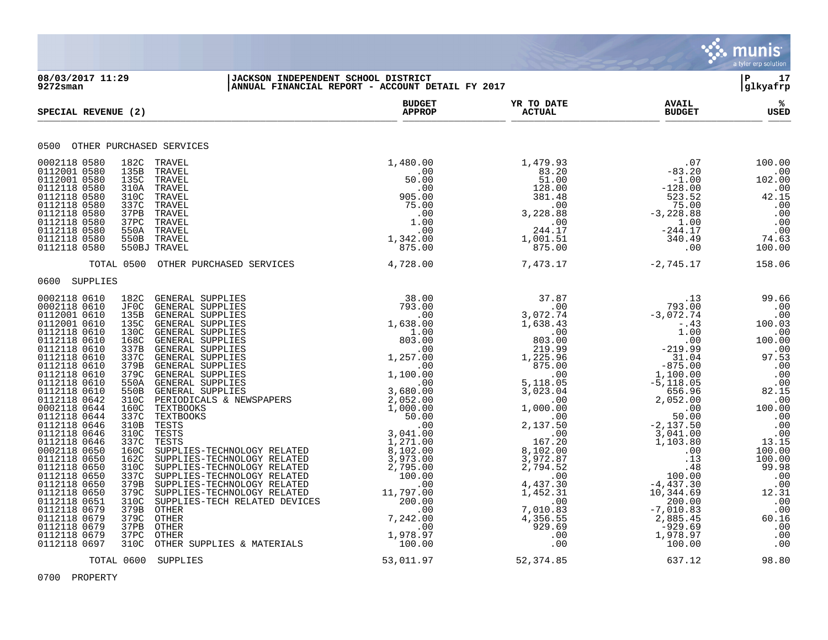

## **08/03/2017 11:29 |JACKSON INDEPENDENT SCHOOL DISTRICT |P 17 9272sman |ANNUAL FINANCIAL REPORT - ACCOUNT DETAIL FY 2017 |glkyafrp**

| SPECIAL REVENUE (2)                                                                                                                                                                                                                                                                                                                                                                                                                                                                                                                                                                                                                                                                                                                                                                                                                                                                                                                                                                                                                                                                                                                                                                                                                                                                                                                                                                                                                                                                                                                                                                                                                                                                                                                                          | <b>BUDGET</b><br><b>APPROP</b>                                                                                                      | YR TO DATE<br><b>ACTUAL</b>                                                                                                                              | <b>AVAIL</b><br><b>BUDGET</b>                                                                                                                                                                                                                                                                                                      | ℁<br>USED                                                                                                                                                                                                                                                                                                                         |
|--------------------------------------------------------------------------------------------------------------------------------------------------------------------------------------------------------------------------------------------------------------------------------------------------------------------------------------------------------------------------------------------------------------------------------------------------------------------------------------------------------------------------------------------------------------------------------------------------------------------------------------------------------------------------------------------------------------------------------------------------------------------------------------------------------------------------------------------------------------------------------------------------------------------------------------------------------------------------------------------------------------------------------------------------------------------------------------------------------------------------------------------------------------------------------------------------------------------------------------------------------------------------------------------------------------------------------------------------------------------------------------------------------------------------------------------------------------------------------------------------------------------------------------------------------------------------------------------------------------------------------------------------------------------------------------------------------------------------------------------------------------|-------------------------------------------------------------------------------------------------------------------------------------|----------------------------------------------------------------------------------------------------------------------------------------------------------|------------------------------------------------------------------------------------------------------------------------------------------------------------------------------------------------------------------------------------------------------------------------------------------------------------------------------------|-----------------------------------------------------------------------------------------------------------------------------------------------------------------------------------------------------------------------------------------------------------------------------------------------------------------------------------|
| 0500 OTHER PURCHASED SERVICES                                                                                                                                                                                                                                                                                                                                                                                                                                                                                                                                                                                                                                                                                                                                                                                                                                                                                                                                                                                                                                                                                                                                                                                                                                                                                                                                                                                                                                                                                                                                                                                                                                                                                                                                |                                                                                                                                     |                                                                                                                                                          |                                                                                                                                                                                                                                                                                                                                    |                                                                                                                                                                                                                                                                                                                                   |
| 0002118 0580<br>182C TRAVEL<br>0112001 0580<br>135B<br>TRAVEL<br>0112001 0580<br>135C<br>TRAVEL<br>0112118 0580<br>310A<br>TRAVEL<br>0112118 0580<br>310C<br>TRAVEL<br>0112118 0580<br>337C<br>TRAVEL<br>0112118 0580<br>37PB<br>TRAVEL<br>0112118 0580<br>37 <sub>PC</sub><br>TRAVEL<br>0112118 0580<br>550A<br>TRAVEL<br>0112118 0580<br>550B<br>TRAVEL<br>0112118 0580<br>550BJ TRAVEL                                                                                                                                                                                                                                                                                                                                                                                                                                                                                                                                                                                                                                                                                                                                                                                                                                                                                                                                                                                                                                                                                                                                                                                                                                                                                                                                                                    | 1,480.00<br>$\overline{\phantom{0}}$ .00<br>50.00<br>.00<br>905.00<br>75.00<br>.00<br>1.00<br>.00<br>$1,342.00$<br>975.00<br>875.00 | 1,479.93<br>$83.20$<br>$51.00$<br>$\begin{array}{r}51.00\\51.00\\128.00\\381.48\\00\\3,228.88\\0.00\\24.4\,7\end{array}$<br>244.17<br>1,001.51<br>875.00 | .07<br>$-83.20$<br>$-1.00$<br>$-1.00$<br>$-128.00$<br>$523.52$<br>$75.00$<br>$-3,228.88$<br>$1.00$<br>$-244.17$<br>$340.49$<br>.00                                                                                                                                                                                                 | 100.00<br>$\overline{\phantom{0}}$ .00<br>102.00<br>.00<br>$42.15$<br>.00<br>.00<br>$\begin{array}{c} 0.00 \\ -0.00 \end{array}$<br>74.63<br>100.00                                                                                                                                                                               |
| TOTAL 0500<br>OTHER PURCHASED SERVICES                                                                                                                                                                                                                                                                                                                                                                                                                                                                                                                                                                                                                                                                                                                                                                                                                                                                                                                                                                                                                                                                                                                                                                                                                                                                                                                                                                                                                                                                                                                                                                                                                                                                                                                       | 4,728.00                                                                                                                            | 7,473.17                                                                                                                                                 | $-2,745.17$                                                                                                                                                                                                                                                                                                                        | 158.06                                                                                                                                                                                                                                                                                                                            |
| 0600 SUPPLIES                                                                                                                                                                                                                                                                                                                                                                                                                                                                                                                                                                                                                                                                                                                                                                                                                                                                                                                                                                                                                                                                                                                                                                                                                                                                                                                                                                                                                                                                                                                                                                                                                                                                                                                                                |                                                                                                                                     |                                                                                                                                                          |                                                                                                                                                                                                                                                                                                                                    |                                                                                                                                                                                                                                                                                                                                   |
| 0002118 0610<br>182C<br>GENERAL SUPPLIES<br>$\begin{tabular}{l c c c} \multicolumn{1}{c}{\textbf{PULES}} & 38.00 & 37.87 \\ \hline \textbf{PULIES} & 793.00 & 3,07.9 \\ \textbf{PULIES} & 793.00 & 3,072.74 \\ \textbf{PULIES} & 1.638.00 & 1,638.43 \\ \textbf{PULIES} & 10.00 & 803.00 \\ \textbf{PULIES} & 1225.96 & 203.00 \\ \textbf{PULIES} & 1,257.00 & 1,225.96 \\ \textbf{PULES} & 1$<br>0002118 0610<br>JF0C<br>GENERAL SUPPLIES<br>0112001 0610<br>135B<br>GENERAL SUPPLIES<br>0112001 0610<br>135C<br><b>GENERAL SUPPLIES</b><br>0112118 0610<br>130C<br>GENERAL SUPPLIES<br>0112118 0610<br>168C<br><b>GENERAL SUPPLIES</b><br>0112118 0610<br><b>GENERAL SUPPLIES</b><br>337B<br>0112118 0610<br>337C<br>GENERAL SUPPLIES<br>0112118 0610<br>379B<br>GENERAL SUPPLIES<br>0112118 0610<br>379C<br>GENERAL SUPPLIES<br>0112118 0610<br>550A<br>GENERAL SUPPLIES<br>0112118 0610<br>550B<br>GENERAL SUPPLIES<br>0112118 0642<br>PERIODICALS & NEWSPAPERS<br>310C<br>0002118 0644<br>160C<br>TEXTBOOKS<br>0112118 0644<br>337C<br>TEXTBOOKS<br>0112118 0646<br>310B<br>TESTS<br>0112118 0646<br>310C<br><b>TESTS</b><br>337C<br>0112118 0646<br>TESTS<br>0002118 0650<br>160C<br>SUPPLIES-TECHNOLOGY RELATED<br>0112118 0650<br>162C<br>SUPPLIES-TECHNOLOGY RELATED<br>0112118 0650<br>310C<br>SUPPLIES-TECHNOLOGY RELATED<br>0112118 0650<br>337C<br>SUPPLIES-TECHNOLOGY RELATED<br>0112118 0650<br>379B<br>SUPPLIES-TECHNOLOGY RELATED<br>379C<br>0112118 0650<br>SUPPLIES-TECHNOLOGY RELATED<br>0112118 0651<br>310C<br>SUPPLIES-TECH RELATED DEVICES<br>0112118 0679<br>379B<br>OTHER<br>379C<br>0112118 0679<br>OTHER<br>0112118 0679<br>37PB<br>OTHER<br>0112118 0679<br>37PC<br>OTHER<br>310C<br>0112118 0697<br>OTHER SUPPLIES & MATERIALS |                                                                                                                                     |                                                                                                                                                          | $\begin{array}{r} \text{ } \begin{array}{r} \text{ } 13 \\ \text{ } 793.00 \\ -3\, , 072.74 \\ -\, .430 \\ 1\, .00 \\ 1\, .00 \\ -219.99 \\ -19.99 \\ -1\, .100\, .00 \\ -1\, .100\, .00 \\ -5\, , 118\, .05 \\ 656.96 \\ 2\, , 052\, .00 \\ 50\, .00 \\ 50\, .00 \\ 50\, .00 \\ 50\, .00 \\ 50\, .00 \\ 50\, .00 \\ 50\, .00 \\ $ | 99.66<br>.00<br>.00<br>100.03<br>$\overline{00}$ .<br>100.00<br>00.<br>97.53<br>.00<br>.00<br>.00<br>$\begin{array}{c} .00 \\ 82.15 \\ .00 \\ 100.00 \\ .00 \end{array}$<br>.00<br>.00<br>.00<br>13.15<br>100.00<br>100.00<br>99.98<br>.00<br>.00<br>$12.31$<br>.00<br>.00<br>60.16<br>$\overline{\phantom{0}}$ .00<br>.00<br>.00 |
| TOTAL 0600 SUPPLIES                                                                                                                                                                                                                                                                                                                                                                                                                                                                                                                                                                                                                                                                                                                                                                                                                                                                                                                                                                                                                                                                                                                                                                                                                                                                                                                                                                                                                                                                                                                                                                                                                                                                                                                                          | 53,011.97                                                                                                                           | 52, 374.85                                                                                                                                               | 637.12                                                                                                                                                                                                                                                                                                                             | 98.80                                                                                                                                                                                                                                                                                                                             |

0700 PROPERTY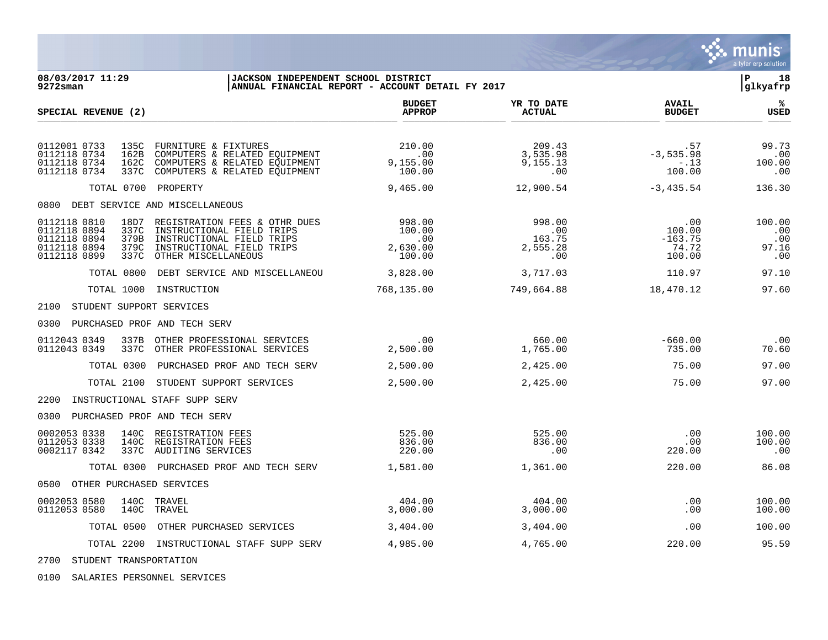|                                                                                                                      |                                                                                                                                             |                                                              |                                            |                                               | munis<br>a tyler erp solution        |
|----------------------------------------------------------------------------------------------------------------------|---------------------------------------------------------------------------------------------------------------------------------------------|--------------------------------------------------------------|--------------------------------------------|-----------------------------------------------|--------------------------------------|
| 08/03/2017 11:29<br>9272sman                                                                                         | JACKSON INDEPENDENT SCHOOL DISTRICT                                                                                                         | ANNUAL FINANCIAL REPORT - ACCOUNT DETAIL FY 2017             |                                            |                                               | l P<br>18<br> glkyafrp               |
| SPECIAL REVENUE (2)                                                                                                  |                                                                                                                                             | <b>BUDGET</b><br><b>APPROP</b>                               | YR TO DATE<br><b>ACTUAL</b>                | <b>AVAIL</b><br><b>BUDGET</b>                 | %<br><b>USED</b>                     |
| 0112001 0733<br>135C<br>0112118 0734<br>162B<br>0112118 0734<br>162C<br>0112118 0734<br>337C                         | FURNITURE & FIXTURES<br>COMPUTERS & RELATED EOUIPMENT<br>COMPUTERS & RELATED EQUIPMENT<br>COMPUTERS & RELATED EQUIPMENT                     | 210.00<br>$\overline{\phantom{0}}$ .00<br>9,155.00<br>100.00 | 209.43<br>3,535.98<br>9,155.13<br>$.00 \,$ | .57<br>$-3, 535.98$<br>$-13$<br>100.00        | 99.73<br>.00<br>100.00<br>.00        |
| TOTAL 0700                                                                                                           | PROPERTY                                                                                                                                    | 9,465.00                                                     | 12,900.54                                  | $-3,435.54$                                   | 136.30                               |
| 0800 DEBT SERVICE AND MISCELLANEOUS                                                                                  |                                                                                                                                             |                                                              |                                            |                                               |                                      |
| 0112118 0810<br>18D7<br>0112118 0894<br>337C<br>0112118 0894<br>379B<br>0112118 0894<br>379C<br>0112118 0899<br>337C | REGISTRATION FEES & OTHR DUES<br>INSTRUCTIONAL FIELD TRIPS<br>INSTRUCTIONAL FIELD TRIPS<br>INSTRUCTIONAL FIELD TRIPS<br>OTHER MISCELLANEOUS | 998.00<br>100.00<br>.00<br>2,630.00<br>100.00                | 998.00<br>.00<br>163.75<br>2,555.28<br>.00 | .00<br>100.00<br>$-163.75$<br>74.72<br>100.00 | 100.00<br>.00<br>.00<br>97.16<br>.00 |
| TOTAL 0800                                                                                                           | DEBT SERVICE AND MISCELLANEOU                                                                                                               | 3,828.00                                                     | 3,717.03                                   | 110.97                                        | 97.10                                |
| TOTAL 1000                                                                                                           | INSTRUCTION                                                                                                                                 | 768,135.00                                                   | 749,664.88                                 | 18,470.12                                     | 97.60                                |
| STUDENT SUPPORT SERVICES<br>2100                                                                                     |                                                                                                                                             |                                                              |                                            |                                               |                                      |
| 0300                                                                                                                 | PURCHASED PROF AND TECH SERV                                                                                                                |                                                              |                                            |                                               |                                      |
| 0112043 0349<br>337B<br>0112043 0349<br>337C                                                                         | OTHER PROFESSIONAL SERVICES<br>OTHER PROFESSIONAL SERVICES                                                                                  | .00<br>2,500.00                                              | 660.00<br>1,765.00                         | $-660.00$<br>735.00                           | .00<br>70.60                         |
| TOTAL 0300                                                                                                           | PURCHASED PROF AND TECH SERV                                                                                                                | 2,500.00                                                     | 2,425.00                                   | 75.00                                         | 97.00                                |
| TOTAL 2100                                                                                                           | STUDENT SUPPORT SERVICES                                                                                                                    | 2,500.00                                                     | 2,425.00                                   | 75.00                                         | 97.00                                |
| 2200                                                                                                                 | INSTRUCTIONAL STAFF SUPP SERV                                                                                                               |                                                              |                                            |                                               |                                      |
| 0300                                                                                                                 | PURCHASED PROF AND TECH SERV                                                                                                                |                                                              |                                            |                                               |                                      |
| 0002053 0338<br>140C<br>0112053 0338<br>140C<br>337C<br>0002117 0342                                                 | REGISTRATION FEES<br>REGISTRATION FEES<br>AUDITING SERVICES                                                                                 | 525.00<br>836.00<br>220.00                                   | 525.00<br>836.00<br>.00                    | .00<br>.00<br>220.00                          | 100.00<br>100.00<br>.00              |
| TOTAL 0300                                                                                                           | PURCHASED PROF AND TECH SERV                                                                                                                | 1,581.00                                                     | 1,361.00                                   | 220.00                                        | 86.08                                |
| 0500 OTHER PURCHASED SERVICES                                                                                        |                                                                                                                                             |                                                              |                                            |                                               |                                      |
| 0002053 0580<br>140C<br>0112053 0580<br>140C                                                                         | TRAVEL<br>TRAVEL                                                                                                                            | 404.00<br>3,000.00                                           | 404.00<br>3,000.00                         | .00<br>.00                                    | 100.00<br>100.00                     |
| TOTAL 0500                                                                                                           | OTHER PURCHASED SERVICES                                                                                                                    | 3,404.00                                                     | 3,404.00                                   | .00                                           | 100.00                               |
| TOTAL 2200                                                                                                           | INSTRUCTIONAL STAFF SUPP SERV                                                                                                               | 4,985.00                                                     | 4,765.00                                   | 220.00                                        | 95.59                                |

2700 STUDENT TRANSPORTATION

0100 SALARIES PERSONNEL SERVICES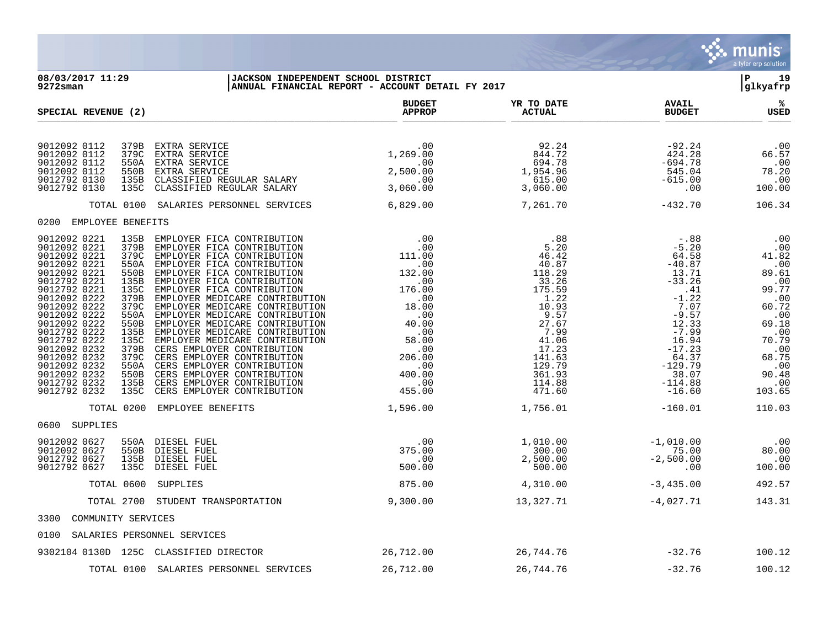

**08/03/2017 11:29 |JACKSON INDEPENDENT SCHOOL DISTRICT |P 19 9272sman |ANNUAL FINANCIAL REPORT - ACCOUNT DETAIL FY 2017 |glkyafrp BUDGET YR TO DATE AVAIL %**  $\begin{array}{cccccccccccccccccccccccccccccccccccccccccc} \text{SPECTAL REVIEW} & (2) & & & & & & \text{APPROP} & & & & \text{ACTUAL} & & & \text{BUDGET} & & & \text{USED} \end{array}$ 9012092 0112 379B EXTRA SERVICE .00 92.24 -92.24 .00 9012092 0112 379C EXTRA SERVICE 1,269.00 844.72 424.28 66.57 9012092 0112 550A EXTRA SERVICE .00 694.78 -694.78 .00 9012092 0112 550B EXTRA SERVICE 2,500.00 1,954.96 545.04 78.20 9012792 0130 135B CLASSIFIED REGULAR SALARY .00 615.00 -615.00 .00 9012792 0130 135C CLASSIFIED REGULAR SALARY 3,060.00 3,060.00 .00 100.00 TOTAL 0100 SALARIES PERSONNEL SERVICES 6,829.00 7,261.70 -432.70 106.34 0200 EMPLOYEE BENEFITS 9012092 0221 135B EMPLOYER FICA CONTRIBUTION .00 .88 -.88 .00 9012092 0221 379B EMPLOYER FICA CONTRIBUTION .00 .00 5.20 5.20 -5.20 -5.20 -5.20 .00 9012092 0221 379C EMPLOYER FICA CONTRIBUTION 111.00 46.42 64.58 41.82 9012092 0221 550A EMPLOYER FICA CONTRIBUTION .00 .00 40.87 -40.87 -40.87 .00 9012092 0221 550B EMPLOYER FICA CONTRIBUTION 132.00 118.29 13.71 13.71 89.61 9012792 0221 135B EMPLOYER FICA CONTRIBUTION .00 33.26 -33.26 .00 9012792 0221 135C EMPLOYER FICA CONTRIBUTION 176.00 175.59 175.59 .41 99.77 9012092 0222 379B EMPLOYER MEDICARE CONTRIBUTION .00 .00  $1.22$  -1.22 -1.22 .00 9012092 0222 379C EMPLOYER MEDICARE CONTRIBUTION 18.00 10.93 7.07 60.72 9012092 0222 550A EMPLOYER MEDICARE CONTRIBUTION .00 .00 9.57 -9.57 -9.57 -9.57 .00 9012092 0222 550B EMPLOYER MEDICARE CONTRIBUTION 40.00 27.67 12.33 69.18 9012792 0222 135B EMPLOYER MEDICARE CONTRIBUTION .00 .00 .00 7.99 -7.99 -7.99 .00 9012792 0222 135C EMPLOYER MEDICARE CONTRIBUTION 58.00 41.06 16.94 70.79 9012092 0232 379B CERS EMPLOYER CONTRIBUTION .00 17.23 -17.23 .00 9012092 0232 379C CERS EMPLOYER CONTRIBUTION 206.00 141.63 64.37 68.75 9012092 0232 550A CERS EMPLOYER CONTRIBUTION .00 129.79 -129.79 .00 9012092 0232 550B CERS EMPLOYER CONTRIBUTION 400.00 361.93 38.07 90.48 9012792 0232 135B CERS EMPLOYER CONTRIBUTION .00 114.88 -114.88 .00 9012792 0232 135C CERS EMPLOYER CONTRIBUTION 455.00 471.60 -16.60 103.65 TOTAL 0200 EMPLOYEE BENEFITS  $1,596.00$   $1,756.01$   $-160.01$   $-160.01$ 0600 SUPPLIES 9012092 0627 550A DIESEL FUEL .00 1,010.00 -1,010.00 .00 9012092 0627 550B DIESEL FUEL 375.00 300.00 75.00 80.00 9012792 0627 135B DIESEL FUEL .00 2,500.00 -2,500.00 .00

9012792 0627 135C DIESEL FUEL 500.00 500.00 .00 100.00 TOTAL 0600 SUPPLIES 675.00 6875.00 4,310.00 4,310.00 4,335.00 492.57 TOTAL 2700 STUDENT TRANSPORTATION 9,300.00 13,327.71 - 4,027.71 143.31 3300 COMMUNITY SERVICES 0100 SALARIES PERSONNEL SERVICES 9302104 0130D 125C CLASSIFIED DIRECTOR 26,712.00 26,744.76 -32.76 100.12 TOTAL 0100 SALARIES PERSONNEL SERVICES 26,712.00 26,744.76 -32.76 100.12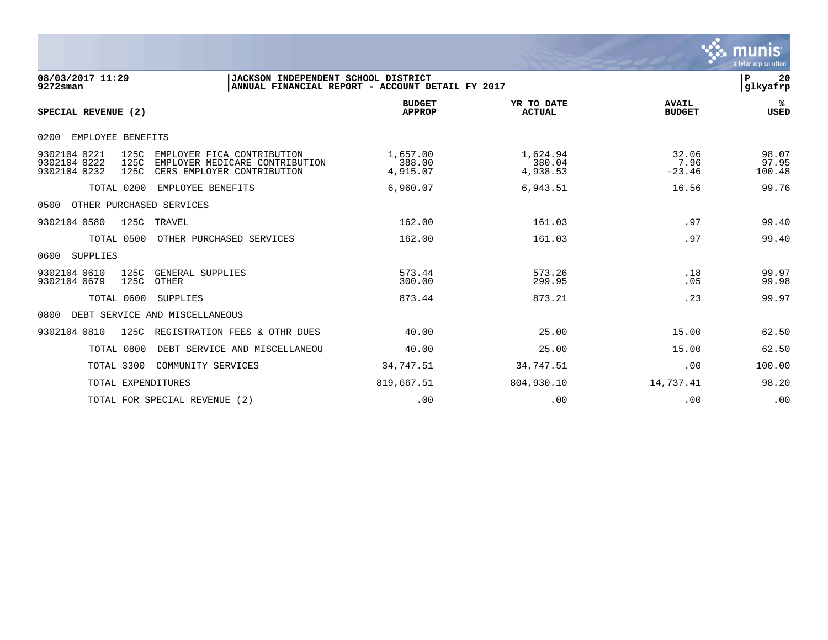|                                                                                                                                                                    |                                                  |                                |                               | munis<br>a tyler erp solution |
|--------------------------------------------------------------------------------------------------------------------------------------------------------------------|--------------------------------------------------|--------------------------------|-------------------------------|-------------------------------|
| 08/03/2017 11:29<br>JACKSON INDEPENDENT SCHOOL DISTRICT<br>$9272$ sman                                                                                             | ANNUAL FINANCIAL REPORT - ACCOUNT DETAIL FY 2017 |                                |                               | ${\bf P}$<br>20<br>glkyafrp   |
| SPECIAL REVENUE (2)                                                                                                                                                | <b>BUDGET</b><br><b>APPROP</b>                   | YR TO DATE<br><b>ACTUAL</b>    | <b>AVAIL</b><br><b>BUDGET</b> | ℁<br><b>USED</b>              |
| 0200<br>EMPLOYEE BENEFITS                                                                                                                                          |                                                  |                                |                               |                               |
| 9302104 0221<br>125C<br>EMPLOYER FICA CONTRIBUTION<br>125C<br>9302104 0222<br>EMPLOYER MEDICARE CONTRIBUTION<br>125C<br>9302104 0232<br>CERS EMPLOYER CONTRIBUTION | 1,657.00<br>388.00<br>4,915.07                   | 1,624.94<br>380.04<br>4,938.53 | 32.06<br>7.96<br>$-23.46$     | 98.07<br>97.95<br>100.48      |
| TOTAL 0200<br>EMPLOYEE BENEFITS                                                                                                                                    | 6,960.07                                         | 6,943.51                       | 16.56                         | 99.76                         |
| OTHER PURCHASED SERVICES<br>0500                                                                                                                                   |                                                  |                                |                               |                               |
| 9302104 0580<br>125C<br>TRAVEL                                                                                                                                     | 162.00                                           | 161.03                         | .97                           | 99.40                         |
| TOTAL 0500<br>OTHER PURCHASED SERVICES                                                                                                                             | 162.00                                           | 161.03                         | .97                           | 99.40                         |
| SUPPLIES<br>0600                                                                                                                                                   |                                                  |                                |                               |                               |
| 9302104 0610<br>125C<br>GENERAL SUPPLIES<br>9302104 0679<br>125C<br>OTHER                                                                                          | 573.44<br>300.00                                 | 573.26<br>299.95               | .18<br>.05                    | 99.97<br>99.98                |
| TOTAL 0600<br>SUPPLIES                                                                                                                                             | 873.44                                           | 873.21                         | .23                           | 99.97                         |
| DEBT SERVICE AND MISCELLANEOUS<br>0800                                                                                                                             |                                                  |                                |                               |                               |
| 125C<br>REGISTRATION FEES & OTHR DUES<br>9302104 0810                                                                                                              | 40.00                                            | 25.00                          | 15.00                         | 62.50                         |
| TOTAL 0800<br>DEBT SERVICE AND MISCELLANEOU                                                                                                                        | 40.00                                            | 25.00                          | 15.00                         | 62.50                         |
| TOTAL 3300<br>COMMUNITY SERVICES                                                                                                                                   | 34,747.51                                        | 34,747.51                      | .00                           | 100.00                        |
| TOTAL EXPENDITURES                                                                                                                                                 | 819,667.51                                       | 804,930.10                     | 14,737.41                     | 98.20                         |
| TOTAL FOR SPECIAL REVENUE (2)                                                                                                                                      | .00                                              | .00                            | .00                           | .00                           |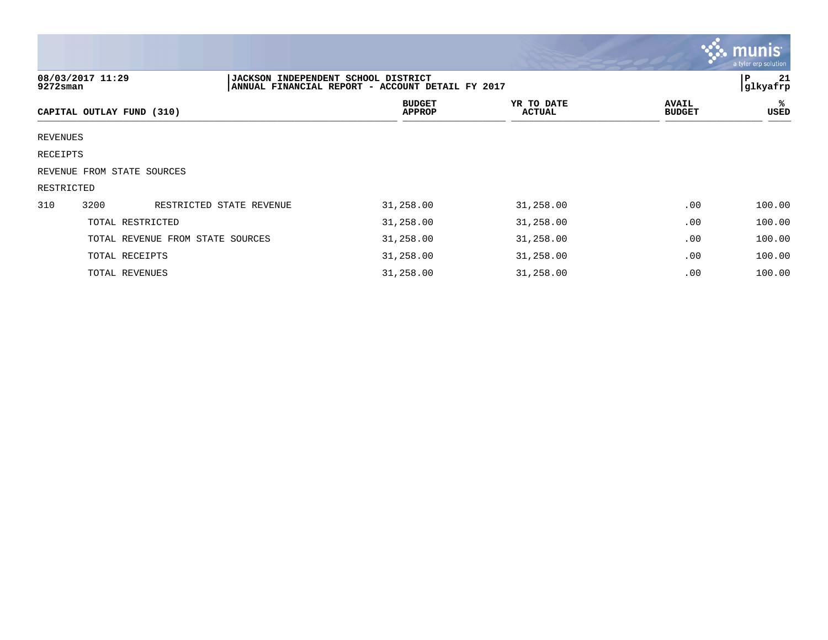|                                                                                                                                      |                            |                                  |                                |                             |                               | <b>W. MUNIS</b><br>a tyler erp solution |  |  |
|--------------------------------------------------------------------------------------------------------------------------------------|----------------------------|----------------------------------|--------------------------------|-----------------------------|-------------------------------|-----------------------------------------|--|--|
| 08/03/2017 11:29<br> JACKSON INDEPENDENT SCHOOL DISTRICT<br>glkyafrp<br>ANNUAL FINANCIAL REPORT - ACCOUNT DETAIL FY 2017<br>9272sman |                            |                                  |                                |                             |                               |                                         |  |  |
|                                                                                                                                      | CAPITAL OUTLAY FUND (310)  |                                  | <b>BUDGET</b><br><b>APPROP</b> | YR TO DATE<br><b>ACTUAL</b> | <b>AVAIL</b><br><b>BUDGET</b> | ℁<br>USED                               |  |  |
| REVENUES                                                                                                                             |                            |                                  |                                |                             |                               |                                         |  |  |
| RECEIPTS                                                                                                                             |                            |                                  |                                |                             |                               |                                         |  |  |
|                                                                                                                                      | REVENUE FROM STATE SOURCES |                                  |                                |                             |                               |                                         |  |  |
| RESTRICTED                                                                                                                           |                            |                                  |                                |                             |                               |                                         |  |  |
| 310                                                                                                                                  | 3200                       | RESTRICTED STATE REVENUE         | 31,258.00                      | 31,258.00                   | .00                           | 100.00                                  |  |  |
|                                                                                                                                      | TOTAL RESTRICTED           |                                  | 31,258.00                      | 31,258.00                   | .00                           | 100.00                                  |  |  |
|                                                                                                                                      |                            | TOTAL REVENUE FROM STATE SOURCES | 31,258.00                      | 31,258.00                   | .00                           | 100.00                                  |  |  |
|                                                                                                                                      | TOTAL RECEIPTS             |                                  | 31,258.00                      | 31,258.00                   | .00                           | 100.00                                  |  |  |
|                                                                                                                                      | TOTAL REVENUES             |                                  | 31,258.00                      | 31,258.00                   | .00                           | 100.00                                  |  |  |

 $\mathcal{L}$  . The set of  $\mathcal{L}$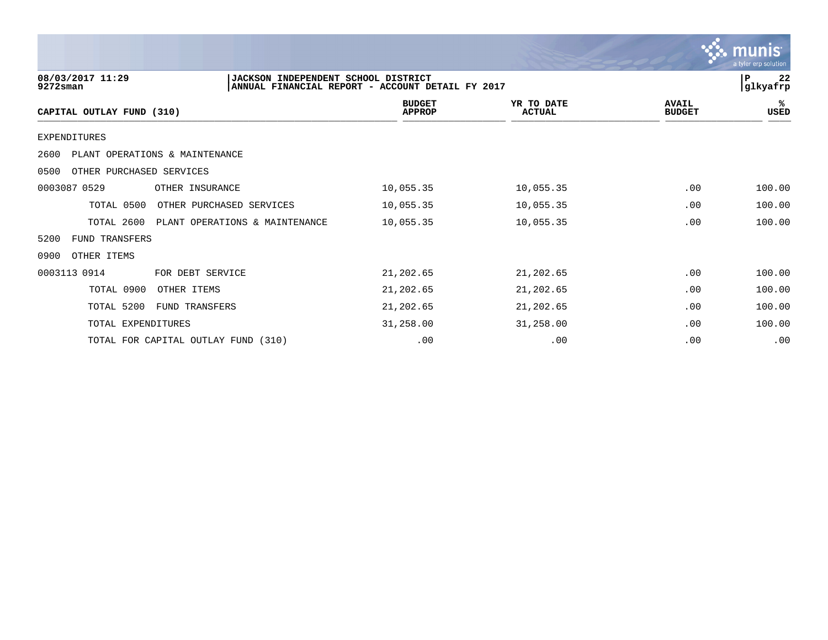|                                  |                                                                                         |                                |                             |                               | a tyler erp solution          |
|----------------------------------|-----------------------------------------------------------------------------------------|--------------------------------|-----------------------------|-------------------------------|-------------------------------|
| 08/03/2017 11:29<br>$9272$ sman  | JACKSON INDEPENDENT SCHOOL DISTRICT<br>ANNUAL FINANCIAL REPORT - ACCOUNT DETAIL FY 2017 |                                |                             |                               | 22<br>$\mathbf P$<br>glkyafrp |
| CAPITAL OUTLAY FUND (310)        |                                                                                         | <b>BUDGET</b><br><b>APPROP</b> | YR TO DATE<br><b>ACTUAL</b> | <b>AVAIL</b><br><b>BUDGET</b> | ℁<br>USED                     |
| <b>EXPENDITURES</b>              |                                                                                         |                                |                             |                               |                               |
| 2600                             | PLANT OPERATIONS & MAINTENANCE                                                          |                                |                             |                               |                               |
| OTHER PURCHASED SERVICES<br>0500 |                                                                                         |                                |                             |                               |                               |
| 0003087 0529                     | OTHER INSURANCE                                                                         | 10,055.35                      | 10,055.35                   | .00                           | 100.00                        |
| TOTAL 0500                       | OTHER PURCHASED SERVICES                                                                | 10,055.35                      | 10,055.35                   | .00                           | 100.00                        |
| TOTAL 2600                       | PLANT OPERATIONS & MAINTENANCE                                                          | 10,055.35                      | 10,055.35                   | .00                           | 100.00                        |
| FUND TRANSFERS<br>5200           |                                                                                         |                                |                             |                               |                               |
| 0900<br>OTHER ITEMS              |                                                                                         |                                |                             |                               |                               |
| 0003113 0914                     | FOR DEBT SERVICE                                                                        | 21,202.65                      | 21,202.65                   | .00                           | 100.00                        |
| TOTAL 0900                       | OTHER ITEMS                                                                             | 21,202.65                      | 21,202.65                   | .00                           | 100.00                        |
| TOTAL 5200                       | FUND TRANSFERS                                                                          | 21,202.65                      | 21,202.65                   | .00                           | 100.00                        |
| TOTAL EXPENDITURES               |                                                                                         | 31,258.00                      | 31,258.00                   | .00                           | 100.00                        |
|                                  | TOTAL FOR CAPITAL OUTLAY FUND<br>(310)                                                  | .00                            | .00                         | .00                           | .00                           |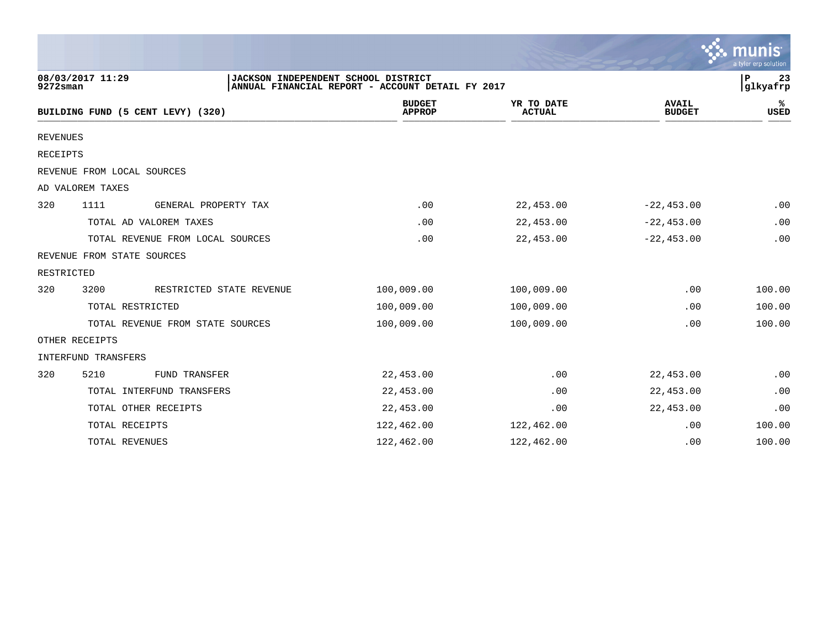|                 |                            |                                     |                                                  |                             |                               | a tyler erp solution |
|-----------------|----------------------------|-------------------------------------|--------------------------------------------------|-----------------------------|-------------------------------|----------------------|
| 9272sman        | 08/03/2017 11:29           | JACKSON INDEPENDENT SCHOOL DISTRICT | ANNUAL FINANCIAL REPORT - ACCOUNT DETAIL FY 2017 |                             |                               | P<br>23<br>glkyafrp  |
|                 |                            | BUILDING FUND (5 CENT LEVY) (320)   | <b>BUDGET</b><br><b>APPROP</b>                   | YR TO DATE<br><b>ACTUAL</b> | <b>AVAIL</b><br><b>BUDGET</b> | ℁<br><b>USED</b>     |
| <b>REVENUES</b> |                            |                                     |                                                  |                             |                               |                      |
| <b>RECEIPTS</b> |                            |                                     |                                                  |                             |                               |                      |
|                 | REVENUE FROM LOCAL SOURCES |                                     |                                                  |                             |                               |                      |
|                 | AD VALOREM TAXES           |                                     |                                                  |                             |                               |                      |
| 320             | 1111                       | GENERAL PROPERTY TAX                | .00                                              | 22,453.00                   | $-22, 453.00$                 | .00                  |
|                 |                            | TOTAL AD VALOREM TAXES              | .00                                              | 22,453.00                   | $-22, 453.00$                 | .00                  |
|                 |                            | TOTAL REVENUE FROM LOCAL SOURCES    | .00                                              | 22,453.00                   | $-22, 453.00$                 | .00                  |
|                 | REVENUE FROM STATE SOURCES |                                     |                                                  |                             |                               |                      |
| RESTRICTED      |                            |                                     |                                                  |                             |                               |                      |
| 320             | 3200                       | RESTRICTED STATE REVENUE            | 100,009.00                                       | 100,009.00                  | .00                           | 100.00               |
|                 |                            | TOTAL RESTRICTED                    | 100,009.00                                       | 100,009.00                  | .00                           | 100.00               |
|                 |                            | TOTAL REVENUE FROM STATE SOURCES    | 100,009.00                                       | 100,009.00                  | .00                           | 100.00               |
|                 | OTHER RECEIPTS             |                                     |                                                  |                             |                               |                      |
|                 | INTERFUND TRANSFERS        |                                     |                                                  |                             |                               |                      |
| 320             | 5210                       | <b>FUND TRANSFER</b>                | 22,453.00                                        | .00                         | 22,453.00                     | .00                  |
|                 |                            | TOTAL INTERFUND TRANSFERS           | 22,453.00                                        | .00                         | 22,453.00                     | .00                  |
|                 |                            | TOTAL OTHER RECEIPTS                | 22,453.00                                        | .00                         | 22,453.00                     | .00                  |
|                 | TOTAL RECEIPTS             |                                     | 122,462.00                                       | 122,462.00                  | .00                           | 100.00               |
|                 | TOTAL REVENUES             |                                     | 122,462.00                                       | 122,462.00                  | .00                           | 100.00               |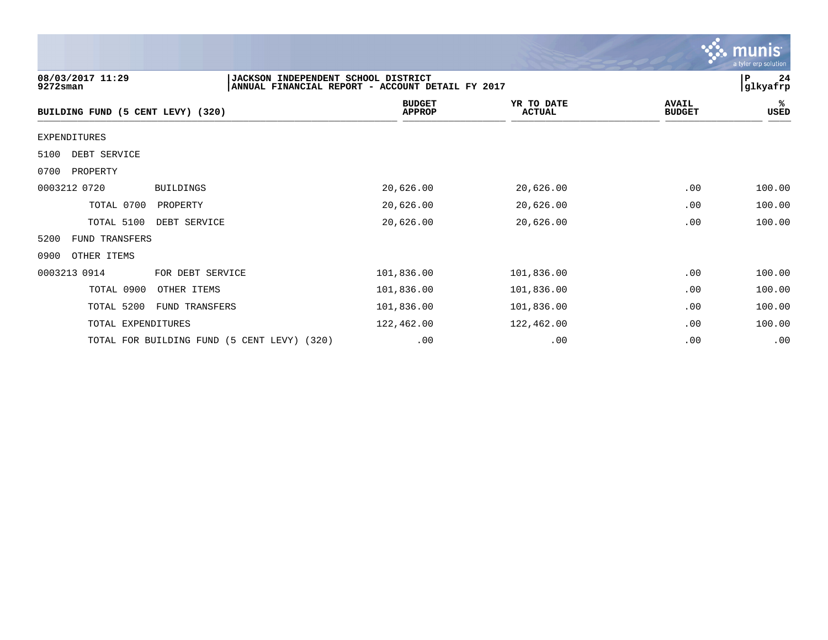|                                   |                                                                                         |                                |                             |                               | a tyler erp solution        |
|-----------------------------------|-----------------------------------------------------------------------------------------|--------------------------------|-----------------------------|-------------------------------|-----------------------------|
| 08/03/2017 11:29<br>9272sman      | JACKSON INDEPENDENT SCHOOL DISTRICT<br>ANNUAL FINANCIAL REPORT - ACCOUNT DETAIL FY 2017 |                                |                             |                               | 24<br>${\bf P}$<br>glkyafrp |
| BUILDING FUND (5 CENT LEVY) (320) |                                                                                         | <b>BUDGET</b><br><b>APPROP</b> | YR TO DATE<br><b>ACTUAL</b> | <b>AVAIL</b><br><b>BUDGET</b> | ℁<br><b>USED</b>            |
| <b>EXPENDITURES</b>               |                                                                                         |                                |                             |                               |                             |
| DEBT SERVICE<br>5100              |                                                                                         |                                |                             |                               |                             |
| 0700<br>PROPERTY                  |                                                                                         |                                |                             |                               |                             |
| 0003212 0720                      | <b>BUILDINGS</b>                                                                        | 20,626.00                      | 20,626.00                   | .00                           | 100.00                      |
| TOTAL 0700                        | PROPERTY                                                                                | 20,626.00                      | 20,626.00                   | .00                           | 100.00                      |
| TOTAL 5100                        | DEBT SERVICE                                                                            | 20,626.00                      | 20,626.00                   | .00                           | 100.00                      |
| FUND TRANSFERS<br>5200            |                                                                                         |                                |                             |                               |                             |
| OTHER ITEMS<br>0900               |                                                                                         |                                |                             |                               |                             |
| 0003213 0914                      | FOR DEBT SERVICE                                                                        | 101,836.00                     | 101,836.00                  | .00                           | 100.00                      |
| TOTAL 0900                        | OTHER ITEMS                                                                             | 101,836.00                     | 101,836.00                  | .00                           | 100.00                      |
| TOTAL 5200                        | FUND TRANSFERS                                                                          | 101,836.00                     | 101,836.00                  | .00                           | 100.00                      |
| TOTAL EXPENDITURES                |                                                                                         | 122,462.00                     | 122,462.00                  | .00                           | 100.00                      |
|                                   | TOTAL FOR BUILDING FUND (5 CENT LEVY) (320)                                             | .00                            | .00                         | .00                           | .00                         |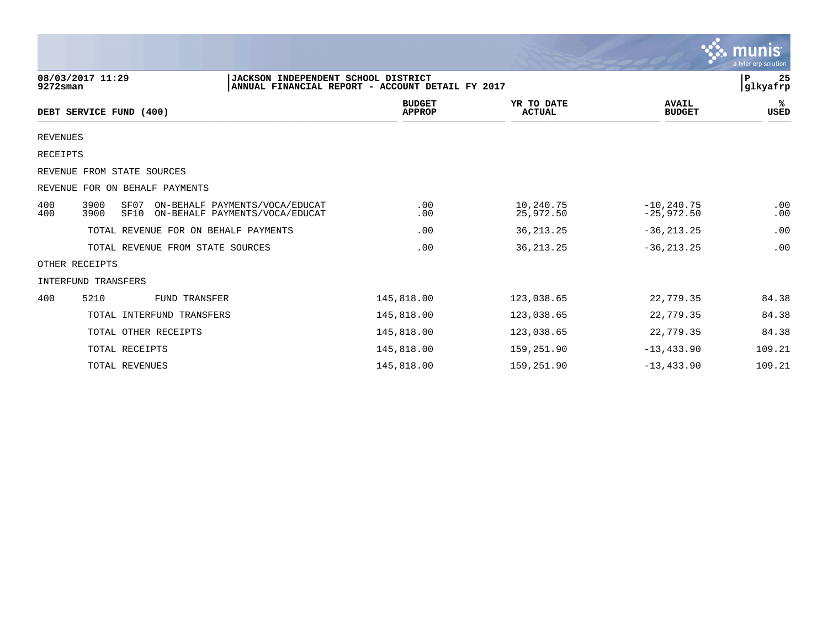|                 |                                  |                                                                                         |                                |                             |                               | a tyler erp solution        |
|-----------------|----------------------------------|-----------------------------------------------------------------------------------------|--------------------------------|-----------------------------|-------------------------------|-----------------------------|
| $9272$ sman     | 08/03/2017 11:29                 | JACKSON INDEPENDENT SCHOOL DISTRICT<br>ANNUAL FINANCIAL REPORT - ACCOUNT DETAIL FY 2017 |                                |                             |                               | 25<br>${\bf P}$<br>glkyafrp |
|                 | DEBT SERVICE FUND (400)          |                                                                                         | <b>BUDGET</b><br><b>APPROP</b> | YR TO DATE<br><b>ACTUAL</b> | <b>AVAIL</b><br><b>BUDGET</b> | %ะ<br><b>USED</b>           |
| <b>REVENUES</b> |                                  |                                                                                         |                                |                             |                               |                             |
| <b>RECEIPTS</b> |                                  |                                                                                         |                                |                             |                               |                             |
|                 | REVENUE FROM STATE SOURCES       |                                                                                         |                                |                             |                               |                             |
|                 | REVENUE FOR ON BEHALF PAYMENTS   |                                                                                         |                                |                             |                               |                             |
| 400<br>400      | 3900<br>SF07<br>3900<br>SF10     | ON-BEHALF PAYMENTS/VOCA/EDUCAT<br>ON-BEHALF PAYMENTS/VOCA/EDUCAT                        | .00<br>.00                     | 10,240.75<br>25,972.50      | $-10, 240.75$<br>$-25,972.50$ | .00<br>.00                  |
|                 |                                  | TOTAL REVENUE FOR ON BEHALF PAYMENTS                                                    | .00                            | 36, 213. 25                 | $-36, 213.25$                 | .00                         |
|                 | TOTAL REVENUE FROM STATE SOURCES |                                                                                         | .00                            | 36, 213. 25                 | $-36, 213.25$                 | .00                         |
|                 | OTHER RECEIPTS                   |                                                                                         |                                |                             |                               |                             |
|                 | INTERFUND TRANSFERS              |                                                                                         |                                |                             |                               |                             |
| 400             | 5210                             | <b>FUND TRANSFER</b>                                                                    | 145,818.00                     | 123,038.65                  | 22,779.35                     | 84.38                       |
|                 | TOTAL INTERFUND TRANSFERS        |                                                                                         | 145,818.00                     | 123,038.65                  | 22,779.35                     | 84.38                       |
|                 | TOTAL OTHER RECEIPTS             |                                                                                         | 145,818.00                     | 123,038.65                  | 22,779.35                     | 84.38                       |
|                 | TOTAL RECEIPTS                   |                                                                                         | 145,818.00                     | 159,251.90                  | $-13, 433.90$                 | 109.21                      |
|                 | TOTAL REVENUES                   |                                                                                         | 145,818.00                     | 159,251.90                  | $-13, 433.90$                 | 109.21                      |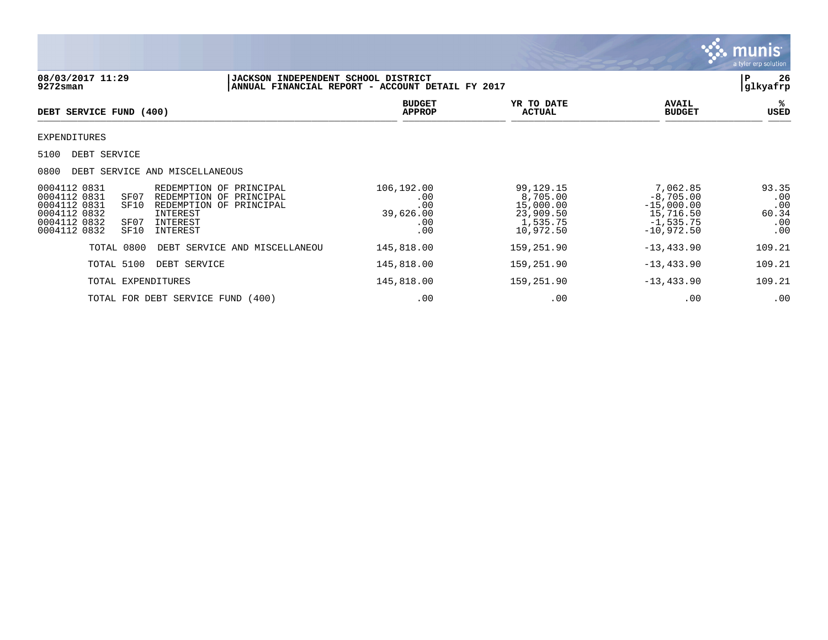

| 08/03/2017 11:29<br>$9272$ sman                                                                                                                                  | JACKSON INDEPENDENT SCHOOL DISTRICT<br>ANNUAL FINANCIAL REPORT - ACCOUNT DETAIL FY 2017 |                                                     |                                                                          |                                                                                     | 26<br>P<br>glkyafrp                        |
|------------------------------------------------------------------------------------------------------------------------------------------------------------------|-----------------------------------------------------------------------------------------|-----------------------------------------------------|--------------------------------------------------------------------------|-------------------------------------------------------------------------------------|--------------------------------------------|
| DEBT SERVICE FUND (400)                                                                                                                                          |                                                                                         | <b>BUDGET</b><br><b>APPROP</b>                      | YR TO DATE<br><b>ACTUAL</b>                                              | <b>AVAIL</b><br><b>BUDGET</b>                                                       | ℁<br>USED                                  |
| EXPENDITURES                                                                                                                                                     |                                                                                         |                                                     |                                                                          |                                                                                     |                                            |
| 5100<br>DEBT SERVICE                                                                                                                                             |                                                                                         |                                                     |                                                                          |                                                                                     |                                            |
| 0800<br>DEBT SERVICE AND MISCELLANEOUS                                                                                                                           |                                                                                         |                                                     |                                                                          |                                                                                     |                                            |
| 0004112 0831<br>0004112 0831<br>SF07<br>0004112 0831<br>SF10<br>0004112 0832<br>INTEREST<br>0004112 0832<br>SF07<br>INTEREST<br>0004112 0832<br>SF10<br>INTEREST | REDEMPTION OF PRINCIPAL<br>REDEMPTION OF PRINCIPAL<br>REDEMPTION OF PRINCIPAL           | 106,192.00<br>.00<br>.00<br>39,626.00<br>.00<br>.00 | 99,129.15<br>8,705.00<br>15,000.00<br>23,909.50<br>1,535.75<br>10,972.50 | 7,062.85<br>$-8,705.00$<br>$-15,000.00$<br>15,716.50<br>$-1,535.75$<br>$-10,972.50$ | 93.35<br>.00<br>.00<br>60.34<br>.00<br>.00 |
| TOTAL 0800                                                                                                                                                       | DEBT SERVICE AND MISCELLANEOU                                                           | 145,818.00                                          | 159,251.90                                                               | $-13, 433.90$                                                                       | 109.21                                     |
| TOTAL 5100<br>DEBT SERVICE                                                                                                                                       |                                                                                         | 145,818.00                                          | 159,251.90                                                               | $-13, 433.90$                                                                       | 109.21                                     |
| TOTAL EXPENDITURES                                                                                                                                               |                                                                                         | 145,818.00                                          | 159,251.90                                                               | $-13, 433.90$                                                                       | 109.21                                     |
| TOTAL FOR DEBT SERVICE FUND (400)                                                                                                                                |                                                                                         | .00                                                 | .00                                                                      | .00                                                                                 | .00                                        |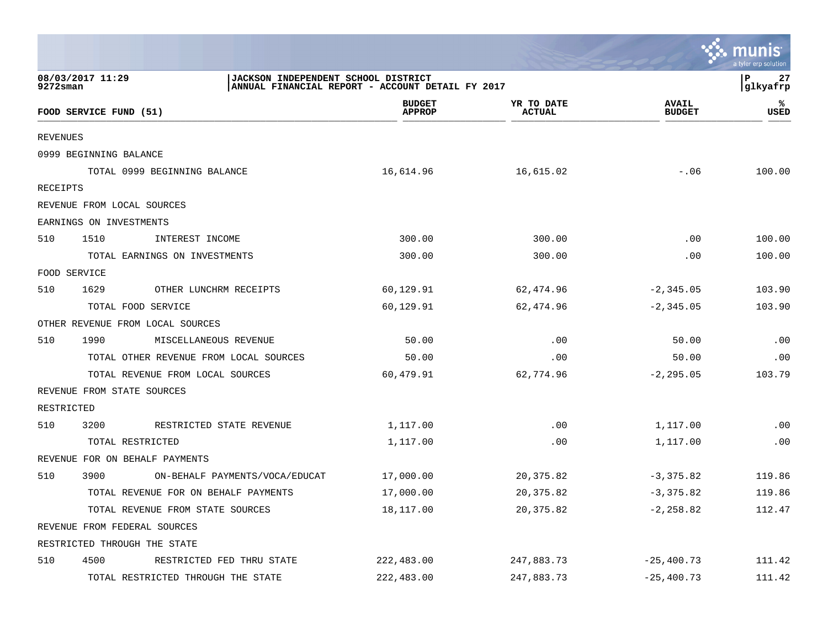|                 |                                                                                                             |                                |                             |                               | a tyler erp solution |
|-----------------|-------------------------------------------------------------------------------------------------------------|--------------------------------|-----------------------------|-------------------------------|----------------------|
| 9272sman        | 08/03/2017 11:29<br>JACKSON INDEPENDENT SCHOOL DISTRICT<br>ANNUAL FINANCIAL REPORT - ACCOUNT DETAIL FY 2017 |                                |                             |                               | 27<br>P<br>glkyafrp  |
|                 | FOOD SERVICE FUND (51)                                                                                      | <b>BUDGET</b><br><b>APPROP</b> | YR TO DATE<br><b>ACTUAL</b> | <b>AVAIL</b><br><b>BUDGET</b> | ℁<br>USED            |
| <b>REVENUES</b> |                                                                                                             |                                |                             |                               |                      |
|                 | 0999 BEGINNING BALANCE                                                                                      |                                |                             |                               |                      |
|                 | TOTAL 0999 BEGINNING BALANCE                                                                                | 16,614.96                      | 16,615.02                   | $-.06$                        | 100.00               |
| RECEIPTS        |                                                                                                             |                                |                             |                               |                      |
|                 | REVENUE FROM LOCAL SOURCES                                                                                  |                                |                             |                               |                      |
|                 | EARNINGS ON INVESTMENTS                                                                                     |                                |                             |                               |                      |
| 510             | 1510<br>INTEREST INCOME                                                                                     | 300.00                         | 300.00                      | .00                           | 100.00               |
|                 | TOTAL EARNINGS ON INVESTMENTS                                                                               | 300.00                         | 300.00                      | .00                           | 100.00               |
|                 | FOOD SERVICE                                                                                                |                                |                             |                               |                      |
| 510             | 1629<br>OTHER LUNCHRM RECEIPTS                                                                              | 60,129.91                      | 62,474.96                   | $-2, 345.05$                  | 103.90               |
|                 | TOTAL FOOD SERVICE                                                                                          | 60,129.91                      | 62,474.96                   | $-2,345.05$                   | 103.90               |
|                 | OTHER REVENUE FROM LOCAL SOURCES                                                                            |                                |                             |                               |                      |
| 510             | 1990<br>MISCELLANEOUS REVENUE                                                                               | 50.00                          | .00                         | 50.00                         | .00                  |
|                 | TOTAL OTHER REVENUE FROM LOCAL SOURCES                                                                      | 50.00                          | .00                         | 50.00                         | .00                  |
|                 | TOTAL REVENUE FROM LOCAL SOURCES                                                                            | 60,479.91                      | 62,774.96                   | $-2, 295.05$                  | 103.79               |
|                 | REVENUE FROM STATE SOURCES                                                                                  |                                |                             |                               |                      |
| RESTRICTED      |                                                                                                             |                                |                             |                               |                      |
| 510             | 3200<br>RESTRICTED STATE REVENUE                                                                            | 1,117.00                       | .00                         | 1,117.00                      | .00                  |
|                 | TOTAL RESTRICTED                                                                                            | 1,117.00                       | .00                         | 1,117.00                      | .00                  |
|                 | REVENUE FOR ON BEHALF PAYMENTS                                                                              |                                |                             |                               |                      |
| 510             | 3900<br>ON-BEHALF PAYMENTS/VOCA/EDUCAT                                                                      | 17,000.00                      | 20,375.82                   | $-3, 375.82$                  | 119.86               |
|                 | TOTAL REVENUE FOR ON BEHALF PAYMENTS                                                                        | 17,000.00                      | 20, 375.82                  | $-3,375.82$                   | 119.86               |
|                 | TOTAL REVENUE FROM STATE SOURCES                                                                            | 18,117.00                      | 20, 375.82                  | $-2, 258.82$                  | 112.47               |
|                 | REVENUE FROM FEDERAL SOURCES                                                                                |                                |                             |                               |                      |
|                 | RESTRICTED THROUGH THE STATE                                                                                |                                |                             |                               |                      |
| 510             | 4500<br>RESTRICTED FED THRU STATE                                                                           | 222,483.00                     | 247,883.73                  | $-25, 400.73$                 | 111.42               |
|                 | TOTAL RESTRICTED THROUGH THE STATE                                                                          | 222,483.00                     | 247,883.73                  | $-25, 400.73$                 | 111.42               |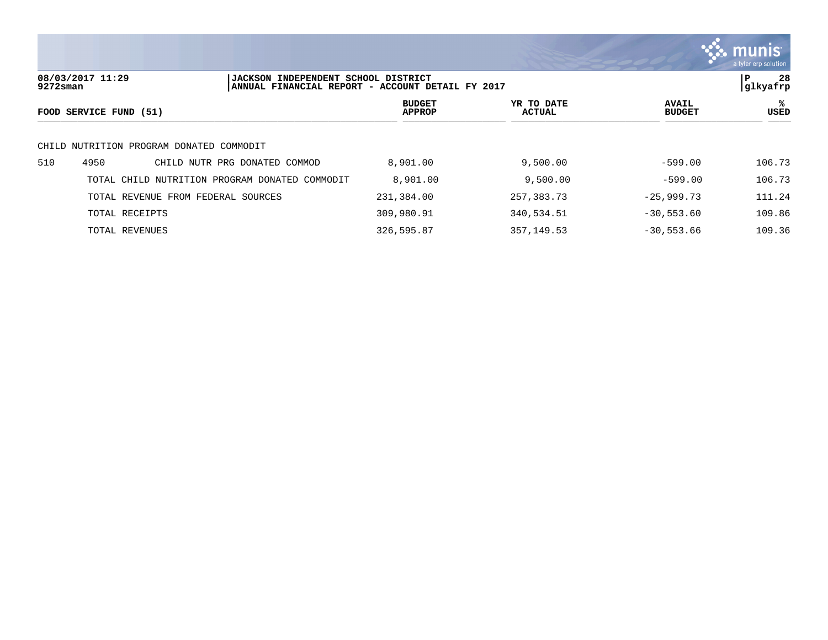

**08/03/2017 11:29 |JACKSON INDEPENDENT SCHOOL DISTRICT |P 28 ANNUAL FINANCIAL REPORT - ACCOUNT DETAIL FY 2017 BUDGET YR TO DATE AVAIL %**  $FOOD$  **SERVICE FUND** (51)  $\frac{A \text{H} \text{R}}{A \text{H} \text{H} \text{R}}$ CHILD NUTRITION PROGRAM DONATED COMMODIT 510 4950 CHILD NUTR PRG DONATED COMMOD 8,901.00 9,500.00 -599.00 106.73 TOTAL CHILD NUTRITION PROGRAM DONATED COMMODIT 8,901.00 9,500.00 -599.00 -599.00 106.73 TOTAL REVENUE FROM FEDERAL SOURCES 231,384.00 257,383.73 -25,999.73 111.24 TOTAL RECEIPTS 309,980.91 340,534.51 -30,553.60 109.86 TOTAL REVENUES 326,595.87 357,149.53 -30,553.66 109.36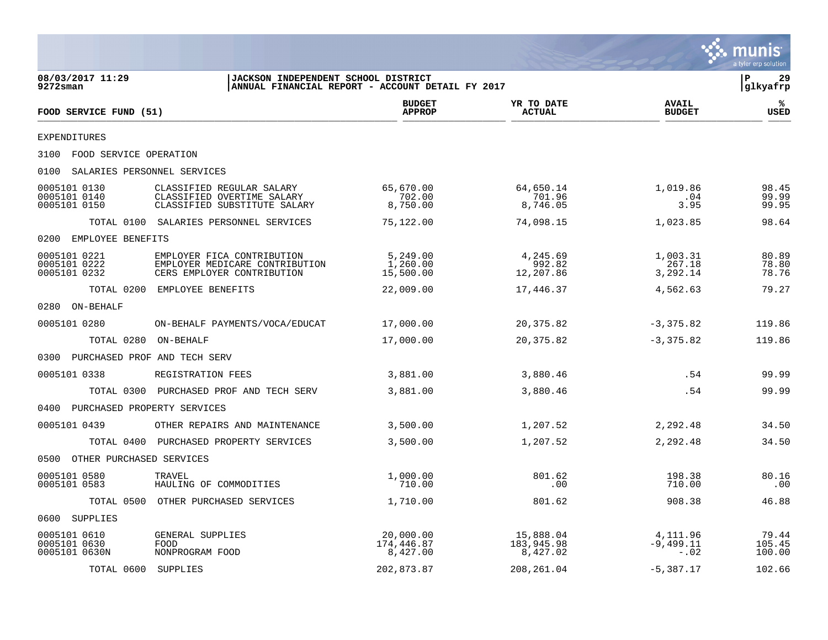|                                               |                                                                                            |                                                  |                                     |                                   | munis<br>a tyler erp solution  |
|-----------------------------------------------|--------------------------------------------------------------------------------------------|--------------------------------------------------|-------------------------------------|-----------------------------------|--------------------------------|
| 08/03/2017 11:29<br>$9272$ sman               | JACKSON INDEPENDENT SCHOOL DISTRICT                                                        | ANNUAL FINANCIAL REPORT - ACCOUNT DETAIL FY 2017 |                                     |                                   | $\mathbf{P}$<br>29<br>glkyafrp |
| FOOD SERVICE FUND (51)                        |                                                                                            | <b>BUDGET</b><br><b>APPROP</b>                   | YR TO DATE<br><b>ACTUAL</b>         | <b>AVAIL</b><br><b>BUDGET</b>     | ℁<br><b>USED</b>               |
| <b>EXPENDITURES</b>                           |                                                                                            |                                                  |                                     |                                   |                                |
| 3100 FOOD SERVICE OPERATION                   |                                                                                            |                                                  |                                     |                                   |                                |
| 0100<br>SALARIES PERSONNEL SERVICES           |                                                                                            |                                                  |                                     |                                   |                                |
| 0005101 0130<br>0005101 0140<br>0005101 0150  | CLASSIFIED REGULAR SALARY<br>CLASSIFIED OVERTIME SALARY<br>CLASSIFIED SUBSTITUTE SALARY    | 65,670.00<br>702.00<br>8,750.00                  | 64,650.14<br>701.96<br>8,746.05     | 1,019.86<br>.04<br>3.95           | 98.45<br>99.99<br>99.95        |
|                                               | TOTAL 0100 SALARIES PERSONNEL SERVICES                                                     | 75,122.00                                        | 74,098.15                           | 1,023.85                          | 98.64                          |
| 0200<br>EMPLOYEE BENEFITS                     |                                                                                            |                                                  |                                     |                                   |                                |
| 0005101 0221<br>0005101 0222<br>0005101 0232  | EMPLOYER FICA CONTRIBUTION<br>EMPLOYER MEDICARE CONTRIBUTION<br>CERS EMPLOYER CONTRIBUTION | 5,249.00<br>1,260.00<br>15,500.00                | 4,245.69<br>992.82<br>12,207.86     | 1,003.31<br>267.18<br>3,292.14    | 80.89<br>78.80<br>78.76        |
|                                               | TOTAL 0200 EMPLOYEE BENEFITS                                                               | 22,009.00                                        | 17,446.37                           | 4,562.63                          | 79.27                          |
| 0280 ON-BEHALF                                |                                                                                            |                                                  |                                     |                                   |                                |
| 0005101 0280                                  | ON-BEHALF PAYMENTS/VOCA/EDUCAT                                                             | 17,000.00                                        | 20,375.82                           | $-3,375.82$                       | 119.86                         |
| TOTAL 0280 ON-BEHALF                          |                                                                                            | 17,000.00                                        | 20,375.82                           | $-3,375.82$                       | 119.86                         |
| 0300 PURCHASED PROF AND TECH SERV             |                                                                                            |                                                  |                                     |                                   |                                |
| 0005101 0338                                  | REGISTRATION FEES                                                                          | 3,881.00                                         | 3,880.46                            | .54                               | 99.99                          |
|                                               | TOTAL 0300 PURCHASED PROF AND TECH SERV                                                    | 3,881.00                                         | 3,880.46                            | .54                               | 99.99                          |
| 0400 PURCHASED PROPERTY SERVICES              |                                                                                            |                                                  |                                     |                                   |                                |
| 0005101 0439                                  | OTHER REPAIRS AND MAINTENANCE                                                              | 3,500.00                                         | 1,207.52                            | 2,292.48                          | 34.50                          |
|                                               | TOTAL 0400 PURCHASED PROPERTY SERVICES                                                     | 3,500.00                                         | 1,207.52                            | 2,292.48                          | 34.50                          |
| 0500 OTHER PURCHASED SERVICES                 |                                                                                            |                                                  |                                     |                                   |                                |
| 0005101 0580<br>0005101 0583                  | TRAVEL<br>HAULING OF COMMODITIES                                                           | 1,000.00<br>710.00                               | 801.62<br>.00                       | 198.38<br>710.00                  | 80.16<br>.00                   |
|                                               | TOTAL 0500 OTHER PURCHASED SERVICES                                                        | 1,710.00                                         | 801.62                              | 908.38                            | 46.88                          |
| 0600 SUPPLIES                                 |                                                                                            |                                                  |                                     |                                   |                                |
| 0005101 0610<br>0005101 0630<br>0005101 0630N | GENERAL SUPPLIES<br>FOOD<br>NONPROGRAM FOOD                                                | 20,000.00<br>174,446.87<br>8,427.00              | 15,888.04<br>183,945.98<br>8,427.02 | 4,111.96<br>$-9,499.11$<br>$-.02$ | 79.44<br>105.45<br>100.00      |
| TOTAL 0600 SUPPLIES                           |                                                                                            | 202,873.87                                       | 208, 261.04                         | $-5,387.17$                       | 102.66                         |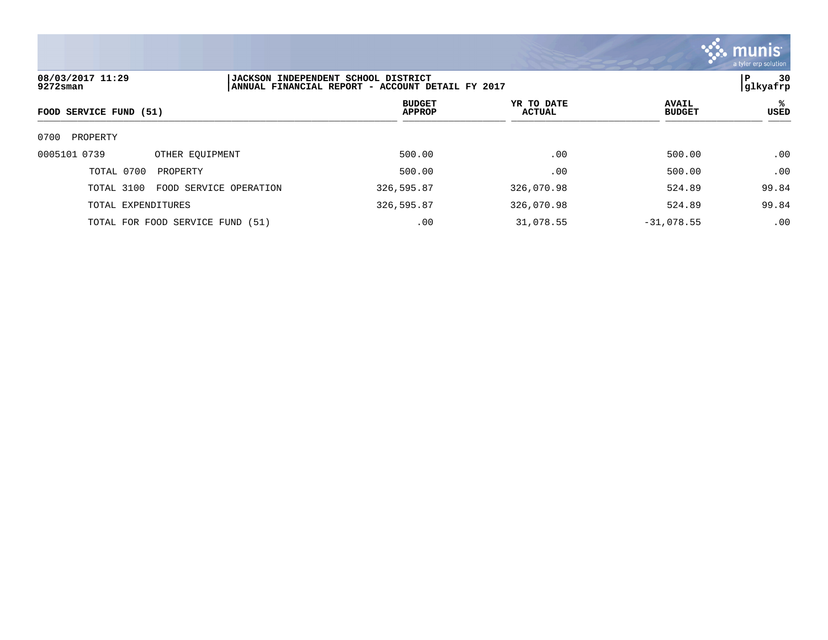

| 08/03/2017 11:29<br>9272sman     |                        | <b> JACKSON INDEPENDENT SCHOOL DISTRICT</b><br>ANNUAL FINANCIAL REPORT - ACCOUNT DETAIL FY 2017 |                      |                               | 30<br>P<br> glkyafrp |  |
|----------------------------------|------------------------|-------------------------------------------------------------------------------------------------|----------------------|-------------------------------|----------------------|--|
| FOOD SERVICE FUND (51)           |                        | <b>BUDGET</b><br><b>APPROP</b>                                                                  | YR TO DATE<br>ACTUAL | <b>AVAIL</b><br><b>BUDGET</b> | ℁<br>USED            |  |
| 0700<br>PROPERTY                 |                        |                                                                                                 |                      |                               |                      |  |
| 0005101 0739                     | OTHER EOUIPMENT        | 500.00                                                                                          | .00                  | 500.00                        | .00                  |  |
| TOTAL 0700<br>PROPERTY           |                        | 500.00                                                                                          | .00                  | 500.00                        | .00                  |  |
| TOTAL 3100                       | FOOD SERVICE OPERATION | 326,595.87                                                                                      | 326,070.98           | 524.89                        | 99.84                |  |
| TOTAL EXPENDITURES               |                        | 326,595.87                                                                                      | 326,070.98           | 524.89                        | 99.84                |  |
| TOTAL FOR FOOD SERVICE FUND (51) |                        | .00                                                                                             | 31,078.55            | $-31,078.55$                  | .00                  |  |